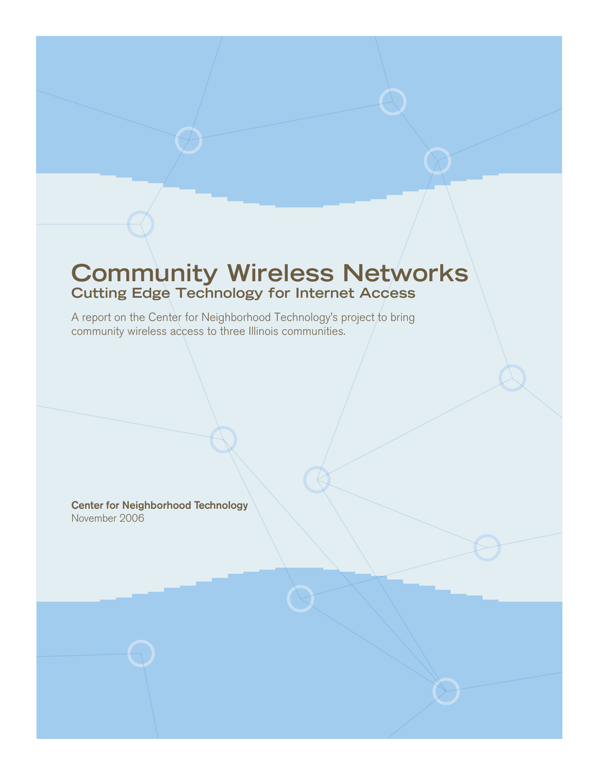# **Community Wireless Networks Cutting Edge Technology for Internet Access**

A report on the Center for Neighborhood Technology's project to bring community wireless access to three Illinois communities.

Center for Neighborhood Technology November 2006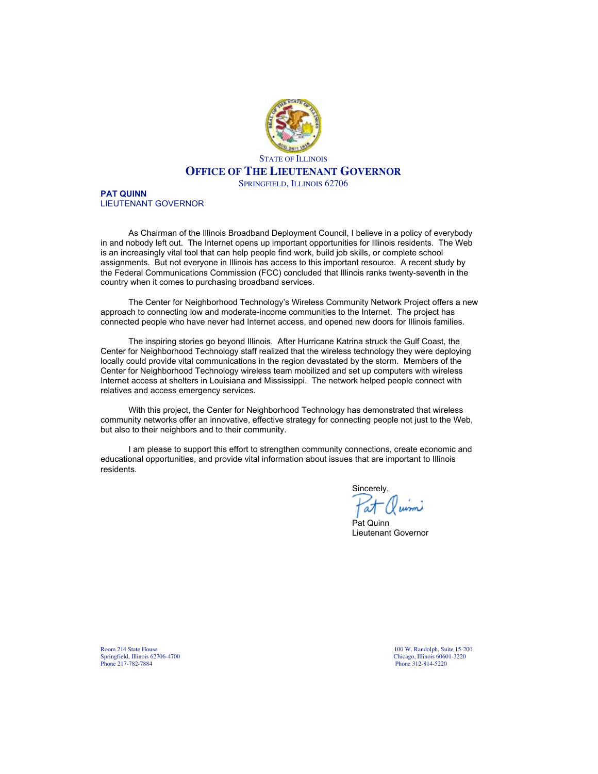

**PAT QUINN** LIEUTENANT GOVERNOR

As Chairman of the Illinois Broadband Deployment Council, I believe in a policy of everybody in and nobody left out. The Internet opens up important opportunities for Illinois residents. The Web is an increasingly vital tool that can help people find work, build job skills, or complete school assignments. But not everyone in Illinois has access to this important resource. A recent study by the Federal Communications Commission (FCC) concluded that Illinois ranks twenty-seventh in the country when it comes to purchasing broadband services.

The Center for Neighborhood Technology's Wireless Community Network Project offers a new approach to connecting low and moderate-income communities to the Internet. The project has connected people who have never had Internet access, and opened new doors for Illinois families.

The inspiring stories go beyond Illinois. After Hurricane Katrina struck the Gulf Coast, the Center for Neighborhood Technology staff realized that the wireless technology they were deploying locally could provide vital communications in the region devastated by the storm. Members of the Center for Neighborhood Technology wireless team mobilized and set up computers with wireless Internet access at shelters in Louisiana and Mississippi. The network helped people connect with relatives and access emergency services.

With this project, the Center for Neighborhood Technology has demonstrated that wireless community networks offer an innovative, effective strategy for connecting people not just to the Web, but also to their neighbors and to their community.

I am please to support this effort to strengthen community connections, create economic and educational opportunities, and provide vital information about issues that are important to Illinois residents.

Sincerely,

Pat Quinn Lieutenant Governor

Room 214 State House 15-200<br>Springfield, Illinois 62706-4700 Chicago, Illinois 60601-3220 Phone 217-782-7884 Phone 312-814-5220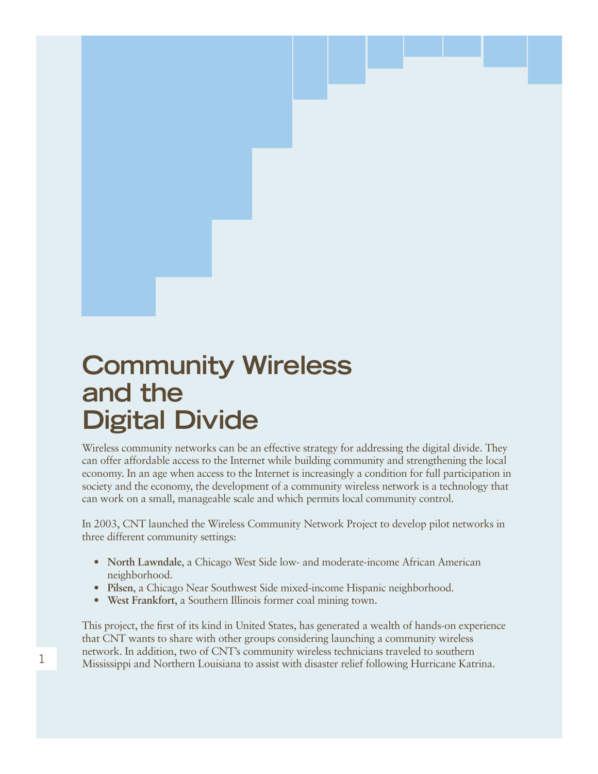# **Community Wireless and the Digital Divide**

Wireless community networks can be an effective strategy for addressing the digital divide. They can offer affordable access to the Internet while building community and strengthening the local economy. In an age when access to the Internet is increasingly a condition for full participation in society and the economy, the development of a community wireless network is a technology that can work on a small, manageable scale and which permits local community control.

In 2003, CNT launched the Wireless Community Network Project to develop pilot networks in three different community settings:

- **North Lawndale**, a Chicago West Side low- and moderate-income African American neighborhood.
- **Pilsen**, a Chicago Near Southwest Side mixed-income Hispanic neighborhood.
- **West Frankfort**, a Southern Illinois former coal mining town.

This project, the first of its kind in United States, has generated a wealth of hands-on experience that CNT wants to share with other groups considering launching a community wireless network. In addition, two of CNT's community wireless technicians traveled to southern Mississippi and Northern Louisiana to assist with disaster relief following Hurricane Katrina.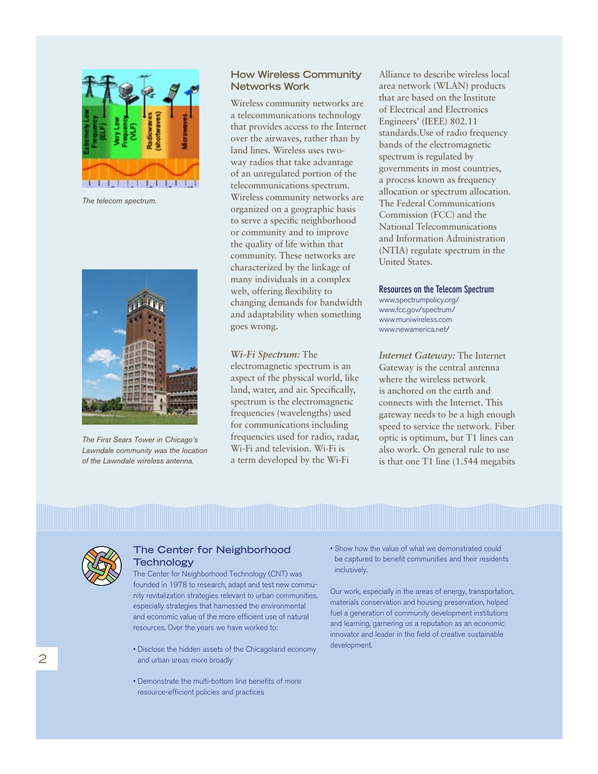

*The telecom spectrum.*



*The First Sears Tower in Chicago's Lawndale community was the location of the Lawndale wireless antenna.*

#### **How Wireless Community Networks Work**

Wireless community networks are a telecommunications technology that provides access to the Internet over the airwaves, rather than by land lines. Wireless uses twoway radios that take advantage of an unregulated portion of the telecommunications spectrum. Wireless community networks are organized on a geographic basis to serve a specific neighborhood or community and to improve the quality of life within that community. These networks are characterized by the linkage of many individuals in a complex web, offering flexibility to changing demands for bandwidth and adaptability when something goes wrong.

#### *Wi-Fi Spectrum:* The

electromagnetic spectrum is an aspect of the physical world, like land, water, and air. Specifically, spectrum is the electromagnetic frequencies (wavelengths) used for communications including frequencies used for radio, radar, Wi-Fi and television. Wi-Fi is a term developed by the Wi-Fi

Alliance to describe wireless local area network (WLAN) products that are based on the Institute of Electrical and Electronics Engineers' (IEEE) 802.11 standards.Use of radio frequency bands of the electromagnetic spectrum is regulated by governments in most countries, a process known as frequency allocation or spectrum allocation. The Federal Communications Commission (FCC) and the National Telecommunications and Information Administration (NTIA) regulate spectrum in the United States.

#### **Resources on the Telecom Spectrum**

www.spectrumpolicy.org/ www.fcc.gov/spectrum/ www.muniwireless.com www.newamerica.net/

*Internet Gateway:* The Internet Gateway is the central antenna where the wireless network is anchored on the earth and connects with the Internet. This gateway needs to be a high enough speed to service the network. Fiber optic is optimum, but T1 lines can also work. On general rule to use is that one T1 line (1.544 megabits



#### **The Center for Neighborhood Technology**

The Center for Neighborhood Technology (CNT) was founded in 1978 to research, adapt and test new community revitalization strategies relevant to urban communities, especially strategies that harnessed the environmental and economic value of the more efficient use of natural resources. Over the years we have worked to:

- Disclose the hidden assets of the Chicagoland economy and urban areas more broadly
- Demonstrate the multi-bottom line benefits of more resource-efficient policies and practices

• Show how the value of what we demonstrated could be captured to benefit communities and their residents inclusively.

Our work, especially in the areas of energy, transportation, materials conservation and housing preservation, helped fuel a generation of community development institutions and learning, garnering us a reputation as an economic innovator and leader in the field of creative sustainable development.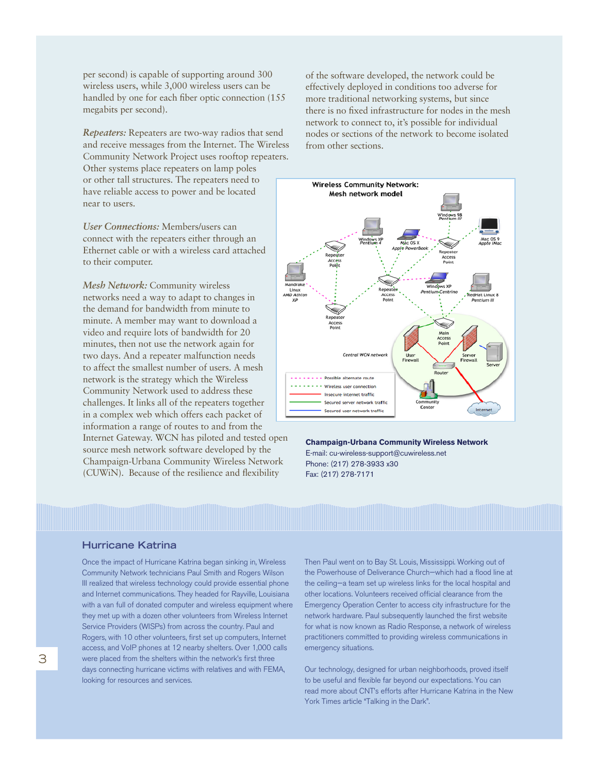per second) is capable of supporting around 300 wireless users, while 3,000 wireless users can be handled by one for each fiber optic connection (155 megabits per second).

*Repeaters:* Repeaters are two-way radios that send and receive messages from the Internet. The Wireless Community Network Project uses rooftop repeaters. Other systems place repeaters on lamp poles or other tall structures. The repeaters need to have reliable access to power and be located near to users.

*User Connections:* Members/users can connect with the repeaters either through an Ethernet cable or with a wireless card attached to their computer.

*Mesh Network:* Community wireless networks need a way to adapt to changes in the demand for bandwidth from minute to minute. A member may want to download a video and require lots of bandwidth for 20 minutes, then not use the network again for two days. And a repeater malfunction needs to affect the smallest number of users. A mesh network is the strategy which the Wireless Community Network used to address these challenges. It links all of the repeaters together in a complex web which offers each packet of information a range of routes to and from the Internet Gateway. WCN has piloted and tested open source mesh network software developed by the Champaign-Urbana Community Wireless Network (CUWiN). Because of the resilience and flexibility

of the software developed, the network could be effectively deployed in conditions too adverse for more traditional networking systems, but since there is no fixed infrastructure for nodes in the mesh network to connect to, it's possible for individual nodes or sections of the network to become isolated from other sections.



#### **Champaign-Urbana Community Wireless Network**

E-mail: cu-wireless-support@cuwireless.net Phone: (217) 278-3933 x30 Fax: (217) 278-7171

#### **Hurricane Katrina**

Once the impact of Hurricane Katrina began sinking in, Wireless Community Network technicians Paul Smith and Rogers Wilson III realized that wireless technology could provide essential phone and Internet communications. They headed for Rayville, Louisiana with a van full of donated computer and wireless equipment where they met up with a dozen other volunteers from Wireless Internet Service Providers (WISPs) from across the country. Paul and Rogers, with 10 other volunteers, first set up computers, Internet access, and VoIP phones at 12 nearby shelters. Over 1,000 calls were placed from the shelters within the network's first three days connecting hurricane victims with relatives and with FEMA, looking for resources and services.

Then Paul went on to Bay St. Louis, Mississippi. Working out of the Powerhouse of Deliverance Church—which had a flood line at the ceiling—a team set up wireless links for the local hospital and other locations. Volunteers received official clearance from the Emergency Operation Center to access city infrastructure for the network hardware. Paul subsequently launched the first website for what is now known as Radio Response, a network of wireless practitioners committed to providing wireless communications in emergency situations.

Our technology, designed for urban neighborhoods, proved itself to be useful and flexible far beyond our expectations. You can read more about CNT's efforts after Hurricane Katrina in the New York Times article "Talking in the Dark".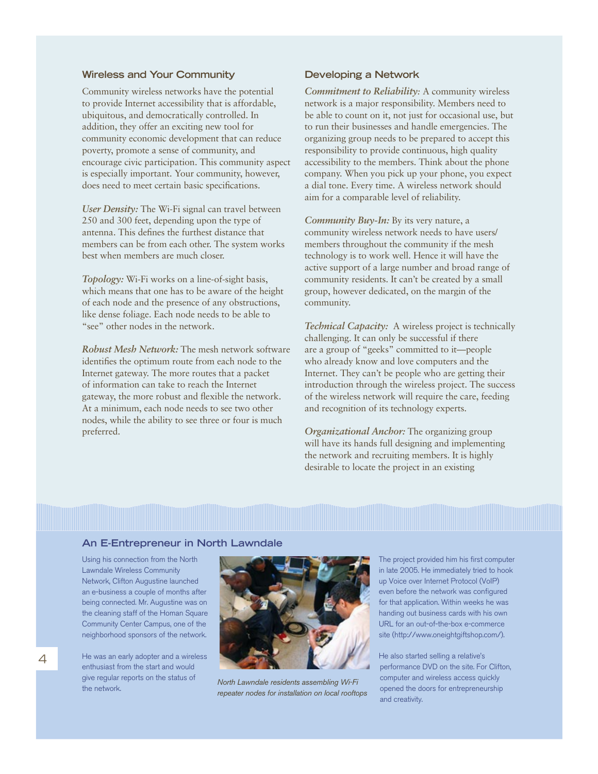#### **Wireless and Your Community**

Community wireless networks have the potential to provide Internet accessibility that is affordable, ubiquitous, and democratically controlled. In addition, they offer an exciting new tool for community economic development that can reduce poverty, promote a sense of community, and encourage civic participation. This community aspect is especially important. Your community, however, does need to meet certain basic specifications.

*User Density:* The Wi-Fi signal can travel between 250 and 300 feet, depending upon the type of antenna. This defines the furthest distance that members can be from each other. The system works best when members are much closer.

*Topology:* Wi-Fi works on a line-of-sight basis, which means that one has to be aware of the height of each node and the presence of any obstructions, like dense foliage. Each node needs to be able to "see" other nodes in the network.

*Robust Mesh Network:* The mesh network software identifies the optimum route from each node to the Internet gateway. The more routes that a packet of information can take to reach the Internet gateway, the more robust and flexible the network. At a minimum, each node needs to see two other nodes, while the ability to see three or four is much preferred.

#### **Developing a Network**

*Commitment to Reliability:* A community wireless network is a major responsibility. Members need to be able to count on it, not just for occasional use, but to run their businesses and handle emergencies. The organizing group needs to be prepared to accept this responsibility to provide continuous, high quality accessibility to the members. Think about the phone company. When you pick up your phone, you expect a dial tone. Every time. A wireless network should aim for a comparable level of reliability.

*Community Buy-In: By its very nature, a* community wireless network needs to have users/ members throughout the community if the mesh technology is to work well. Hence it will have the active support of a large number and broad range of community residents. It can't be created by a small group, however dedicated, on the margin of the community.

*Technical Capacity:* A wireless project is technically challenging. It can only be successful if there are a group of "geeks" committed to it—people who already know and love computers and the Internet. They can't be people who are getting their introduction through the wireless project. The success of the wireless network will require the care, feeding and recognition of its technology experts.

*Organizational Anchor:* The organizing group will have its hands full designing and implementing the network and recruiting members. It is highly desirable to locate the project in an existing

#### **An E-Entrepreneur in North Lawndale**

Using his connection from the North Lawndale Wireless Community Network, Clifton Augustine launched an e-business a couple of months after being connected. Mr. Augustine was on the cleaning staff of the Homan Square Community Center Campus, one of the neighborhood sponsors of the network.

He was an early adopter and a wireless enthusiast from the start and would give regular reports on the status of the network.



*North Lawndale residents assembling Wi-Fi repeater nodes for installation on local rooftops*

The project provided him his first computer in late 2005. He immediately tried to hook up Voice over Internet Protocol (VoIP) even before the network was configured for that application. Within weeks he was handing out business cards with his own URL for an out-of-the-box e-commerce site (http://www.oneightgiftshop.com/).

He also started selling a relative's performance DVD on the site. For Clifton, computer and wireless access quickly opened the doors for entrepreneurship and creativity.

4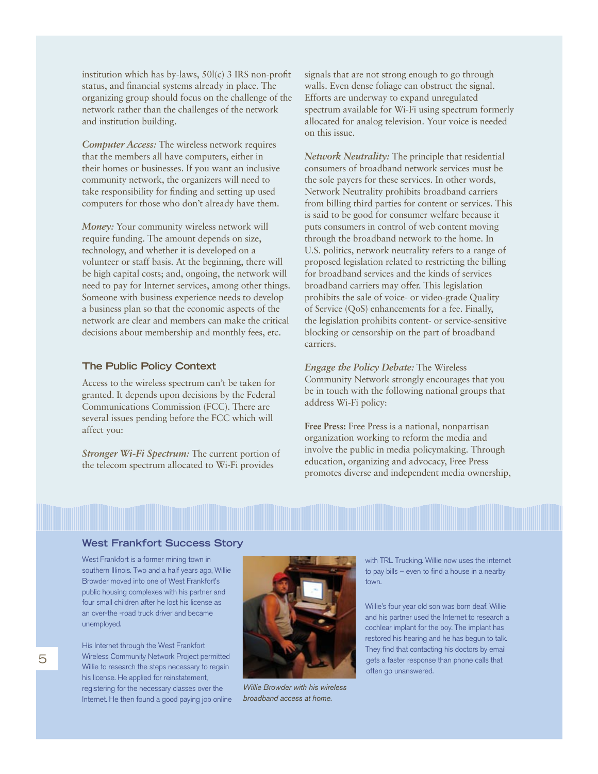institution which has by-laws, 50l(c) 3 IRS non-profit status, and financial systems already in place. The organizing group should focus on the challenge of the network rather than the challenges of the network and institution building.

*Computer Access:* The wireless network requires that the members all have computers, either in their homes or businesses. If you want an inclusive community network, the organizers will need to take responsibility for finding and setting up used computers for those who don't already have them.

*Money:* Your community wireless network will require funding. The amount depends on size, technology, and whether it is developed on a volunteer or staff basis. At the beginning, there will be high capital costs; and, ongoing, the network will need to pay for Internet services, among other things. Someone with business experience needs to develop a business plan so that the economic aspects of the network are clear and members can make the critical decisions about membership and monthly fees, etc.

#### **The Public Policy Context**

Access to the wireless spectrum can't be taken for granted. It depends upon decisions by the Federal Communications Commission (FCC). There are several issues pending before the FCC which will affect you:

*Stronger Wi-Fi Spectrum:* The current portion of the telecom spectrum allocated to Wi-Fi provides

signals that are not strong enough to go through walls. Even dense foliage can obstruct the signal. Efforts are underway to expand unregulated spectrum available for Wi-Fi using spectrum formerly allocated for analog television. Your voice is needed on this issue.

*Network Neutrality:* The principle that residential consumers of broadband network services must be the sole payers for these services. In other words, Network Neutrality prohibits broadband carriers from billing third parties for content or services. This is said to be good for consumer welfare because it puts consumers in control of web content moving through the broadband network to the home. In U.S. politics, network neutrality refers to a range of proposed legislation related to restricting the billing for broadband services and the kinds of services broadband carriers may offer. This legislation prohibits the sale of voice- or video-grade Quality of Service (QoS) enhancements for a fee. Finally, the legislation prohibits content- or service-sensitive blocking or censorship on the part of broadband carriers.

*Engage the Policy Debate:* The Wireless Community Network strongly encourages that you be in touch with the following national groups that address Wi-Fi policy:

**Free Press:** Free Press is a national, nonpartisan organization working to reform the media and involve the public in media policymaking. Through education, organizing and advocacy, Free Press promotes diverse and independent media ownership,

#### **West Frankfort Success Story**

West Frankfort is a former mining town in southern Illinois. Two and a half years ago, Willie Browder moved into one of West Frankfort's public housing complexes with his partner and four small children after he lost his license as an over-the -road truck driver and became unemployed.

His Internet through the West Frankfort Wireless Community Network Project permitted Willie to research the steps necessary to regain his license. He applied for reinstatement, registering for the necessary classes over the Internet. He then found a good paying job online



*Willie Browder with his wireless broadband access at home.*

with TRL Trucking. Willie now uses the internet to pay bills – even to find a house in a nearby town.

Willie's four year old son was born deaf. Willie and his partner used the Internet to research a cochlear implant for the boy. The implant has restored his hearing and he has begun to talk. They find that contacting his doctors by email gets a faster response than phone calls that often go unanswered.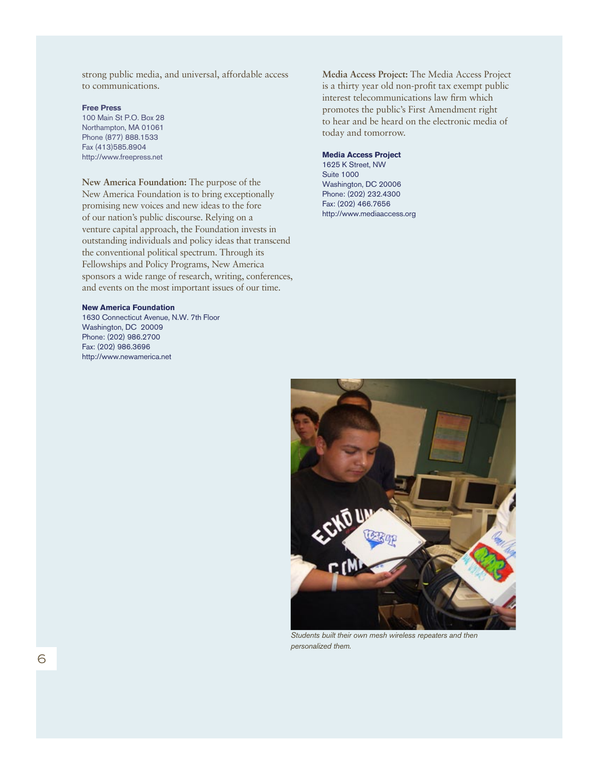strong public media, and universal, affordable access to communications.

**Free Press** 100 Main St P.O. Box 28 Northampton, MA 01061 Phone (877) 888.1533 Fax (413)585.8904 http://www.freepress.net

#### **New America Foundation:** The purpose of the

New America Foundation is to bring exceptionally promising new voices and new ideas to the fore of our nation's public discourse. Relying on a venture capital approach, the Foundation invests in outstanding individuals and policy ideas that transcend the conventional political spectrum. Through its Fellowships and Policy Programs, New America sponsors a wide range of research, writing, conferences, and events on the most important issues of our time.

#### **New America Foundation**

1630 Connecticut Avenue, N.W. 7th Floor Washington, DC 20009 Phone: (202) 986.2700 Fax: (202) 986.3696 http://www.newamerica.net

**Media Access Project:** The Media Access Project is a thirty year old non-profit tax exempt public interest telecommunications law firm which promotes the public's First Amendment right to hear and be heard on the electronic media of today and tomorrow.

#### **Media Access Project**

1625 K Street, NW Suite 1000 Washington, DC 20006 Phone: (202) 232.4300 Fax: (202) 466.7656 http://www.mediaaccess.org



*Students built their own mesh wireless repeaters and then personalized them.*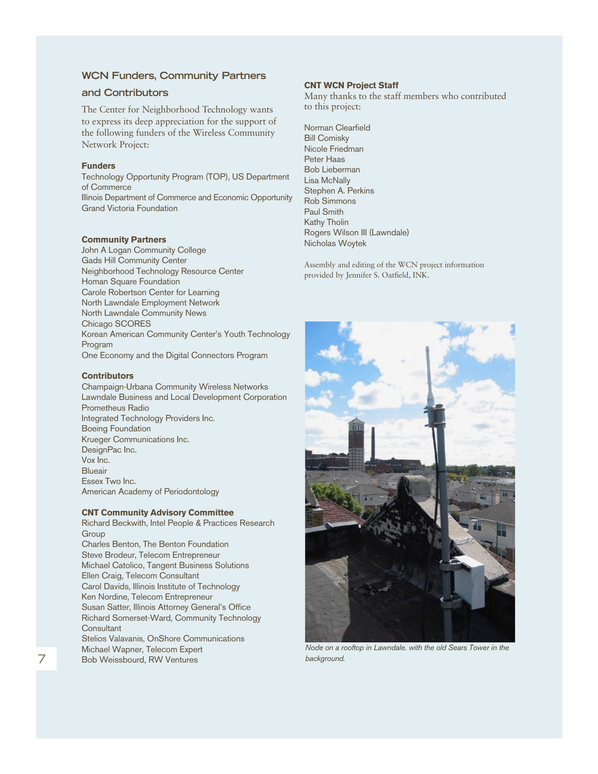#### **WCN Funders, Community Partners**

#### **and Contributors**

The Center for Neighborhood Technology wants to express its deep appreciation for the support of the following funders of the Wireless Community Network Project:

#### **Funders**

Technology Opportunity Program (TOP), US Department of Commerce Illinois Department of Commerce and Economic Opportunity Grand Victoria Foundation

#### **Community Partners**

John A Logan Community College Gads Hill Community Center Neighborhood Technology Resource Center Homan Square Foundation Carole Robertson Center for Learning North Lawndale Employment Network North Lawndale Community News Chicago SCORES Korean American Community Center's Youth Technology Program One Economy and the Digital Connectors Program

#### **Contributors**

Champaign-Urbana Community Wireless Networks Lawndale Business and Local Development Corporation Prometheus Radio Integrated Technology Providers Inc. Boeing Foundation Krueger Communications Inc. DesignPac Inc. Vox Inc. Blueair Essex Two Inc. American Academy of Periodontology

#### **CNT Community Advisory Committee**

Richard Beckwith, Intel People & Practices Research **Group** Charles Benton, The Benton Foundation Steve Brodeur, Telecom Entrepreneur Michael Catolico, Tangent Business Solutions Ellen Craig, Telecom Consultant Carol Davids, Illinois Institute of Technology Ken Nordine, Telecom Entrepreneur Susan Satter, Illinois Attorney General's Office Richard Somerset-Ward, Community Technology **Consultant** Stelios Valavanis, OnShore Communications Michael Wapner, Telecom Expert Bob Weissbourd, RW Ventures

#### **CNT WCN Project Staff**

Many thanks to the staff members who contributed to this project:

Norman Clearfield Bill Comisky Nicole Friedman Peter Haas Bob Lieberman Lisa McNally Stephen A. Perkins Rob Simmons Paul Smith Kathy Tholin Rogers Wilson III (Lawndale) Nicholas Woytek

Assembly and editing of the WCN project information provided by Jennifer S. Oatfield, INK.



*Node on a rooftop in Lawndale. with the old Sears Tower in the background.*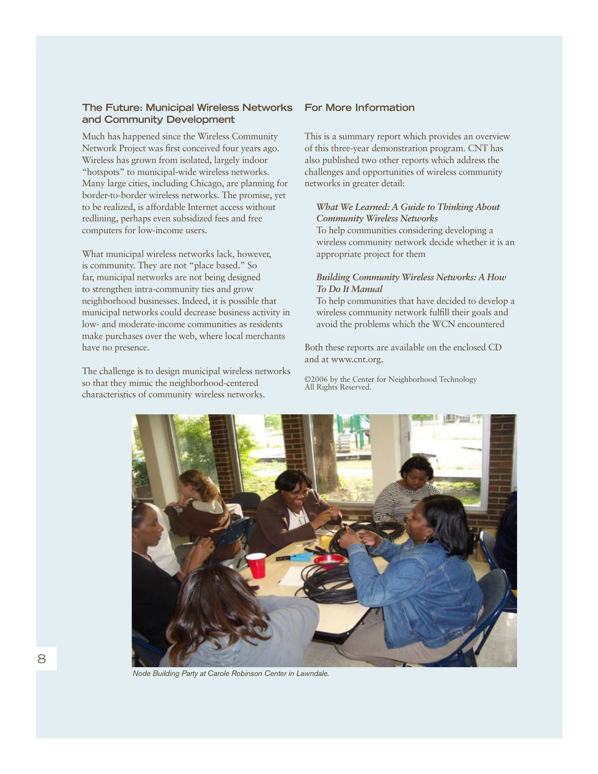#### **The Future: Municipal Wireless Networks and Community Development**

Much has happened since the Wireless Community Network Project was first conceived four years ago. Wireless has grown from isolated, largely indoor "hotspots" to municipal-wide wireless networks. Many large cities, including Chicago, are planning for border-to-border wireless networks. The promise, yet to be realized, is affordable Internet access without redlining, perhaps even subsidized fees and free computers for low-income users.

What municipal wireless networks lack, however, is community. They are not "place based." So far, municipal networks are not being designed to strengthen intra-community ties and grow neighborhood businesses. Indeed, it is possible that municipal networks could decrease business activity in low- and moderate-income communities as residents make purchases over the web, where local merchants have no presence.

The challenge is to design municipal wireless networks so that they mimic the neighborhood-centered characteristics of community wireless networks.

#### **For More Information**

This is a summary report which provides an overview of this three-year demonstration program. CNT has also published two other reports which address the challenges and opportunities of wireless community networks in greater detail:

#### *What We Learned: A Guide to Thinking About Community Wireless Networks*

To help communities considering developing a wireless community network decide whether it is an appropriate project for them

#### *Building Community Wireless Networks: A How To Do It Manual*

To help communities that have decided to develop a wireless community network fulfill their goals and avoid the problems which the WCN encountered

Both these reports are available on the enclosed CD and at www.cnt.org.

©2006 by the Center for Neighborhood Technology All Rights Reserved.



*Node Building Party at Carole Robinson Center in Lawndale.*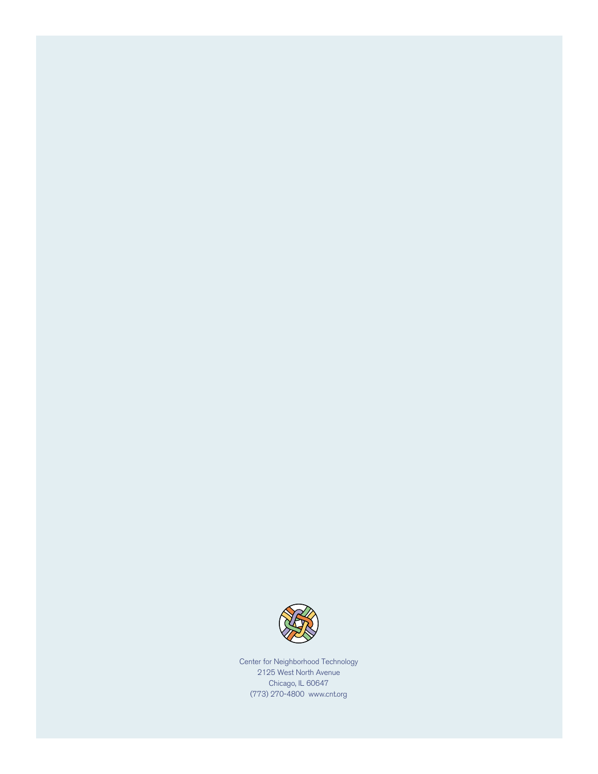

Center for Neighborhood Technology 2125 West North Avenue Chicago, IL 60647 (773) 270-4800 www.cnt.org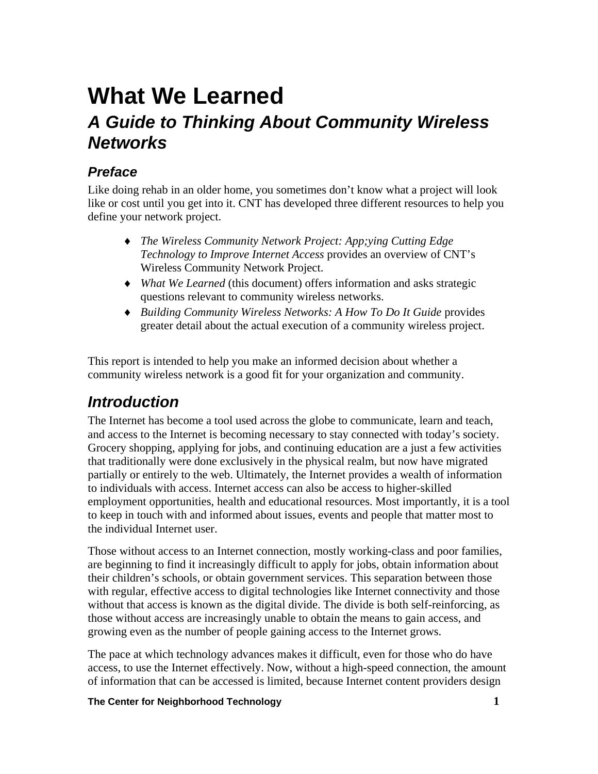# **What We Learned**  *A Guide to Thinking About Community Wireless Networks*

# *Preface*

Like doing rehab in an older home, you sometimes don't know what a project will look like or cost until you get into it. CNT has developed three different resources to help you define your network project.

- ♦ *The Wireless Community Network Project: App;ying Cutting Edge Technology to Improve Internet Access* provides an overview of CNT's Wireless Community Network Project.
- ♦ *What We Learned* (this document) offers information and asks strategic questions relevant to community wireless networks.
- ♦ *Building Community Wireless Networks: A How To Do It Guide* provides greater detail about the actual execution of a community wireless project.

This report is intended to help you make an informed decision about whether a community wireless network is a good fit for your organization and community.

# *Introduction*

The Internet has become a tool used across the globe to communicate, learn and teach, and access to the Internet is becoming necessary to stay connected with today's society. Grocery shopping, applying for jobs, and continuing education are a just a few activities that traditionally were done exclusively in the physical realm, but now have migrated partially or entirely to the web. Ultimately, the Internet provides a wealth of information to individuals with access. Internet access can also be access to higher-skilled employment opportunities, health and educational resources. Most importantly, it is a tool to keep in touch with and informed about issues, events and people that matter most to the individual Internet user.

Those without access to an Internet connection, mostly working-class and poor families, are beginning to find it increasingly difficult to apply for jobs, obtain information about their children's schools, or obtain government services. This separation between those with regular, effective access to digital technologies like Internet connectivity and those without that access is known as the digital divide. The divide is both self-reinforcing, as those without access are increasingly unable to obtain the means to gain access, and growing even as the number of people gaining access to the Internet grows.

The pace at which technology advances makes it difficult, even for those who do have access, to use the Internet effectively. Now, without a high-speed connection, the amount of information that can be accessed is limited, because Internet content providers design

#### **The Center for Neighborhood Technology 1**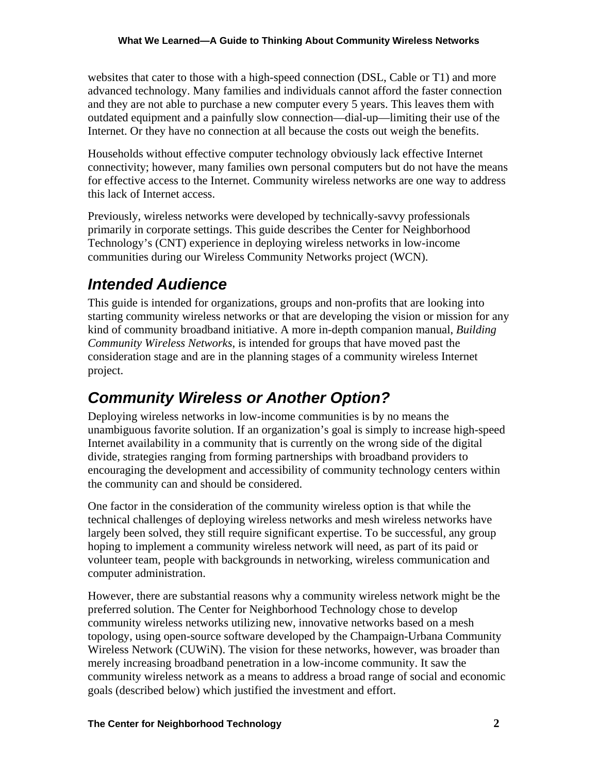websites that cater to those with a high-speed connection (DSL, Cable or T1) and more advanced technology. Many families and individuals cannot afford the faster connection and they are not able to purchase a new computer every 5 years. This leaves them with outdated equipment and a painfully slow connection—dial-up—limiting their use of the Internet. Or they have no connection at all because the costs out weigh the benefits.

Households without effective computer technology obviously lack effective Internet connectivity; however, many families own personal computers but do not have the means for effective access to the Internet. Community wireless networks are one way to address this lack of Internet access.

Previously, wireless networks were developed by technically-savvy professionals primarily in corporate settings. This guide describes the Center for Neighborhood Technology's (CNT) experience in deploying wireless networks in low-income communities during our Wireless Community Networks project (WCN).

# *Intended Audience*

This guide is intended for organizations, groups and non-profits that are looking into starting community wireless networks or that are developing the vision or mission for any kind of community broadband initiative. A more in-depth companion manual, *Building Community Wireless Networks*, is intended for groups that have moved past the consideration stage and are in the planning stages of a community wireless Internet project.

# *Community Wireless or Another Option?*

Deploying wireless networks in low-income communities is by no means the unambiguous favorite solution. If an organization's goal is simply to increase high-speed Internet availability in a community that is currently on the wrong side of the digital divide, strategies ranging from forming partnerships with broadband providers to encouraging the development and accessibility of community technology centers within the community can and should be considered.

One factor in the consideration of the community wireless option is that while the technical challenges of deploying wireless networks and mesh wireless networks have largely been solved, they still require significant expertise. To be successful, any group hoping to implement a community wireless network will need, as part of its paid or volunteer team, people with backgrounds in networking, wireless communication and computer administration.

However, there are substantial reasons why a community wireless network might be the preferred solution. The Center for Neighborhood Technology chose to develop community wireless networks utilizing new, innovative networks based on a mesh topology, using open-source software developed by the Champaign-Urbana Community Wireless Network (CUWiN). The vision for these networks, however, was broader than merely increasing broadband penetration in a low-income community. It saw the community wireless network as a means to address a broad range of social and economic goals (described below) which justified the investment and effort.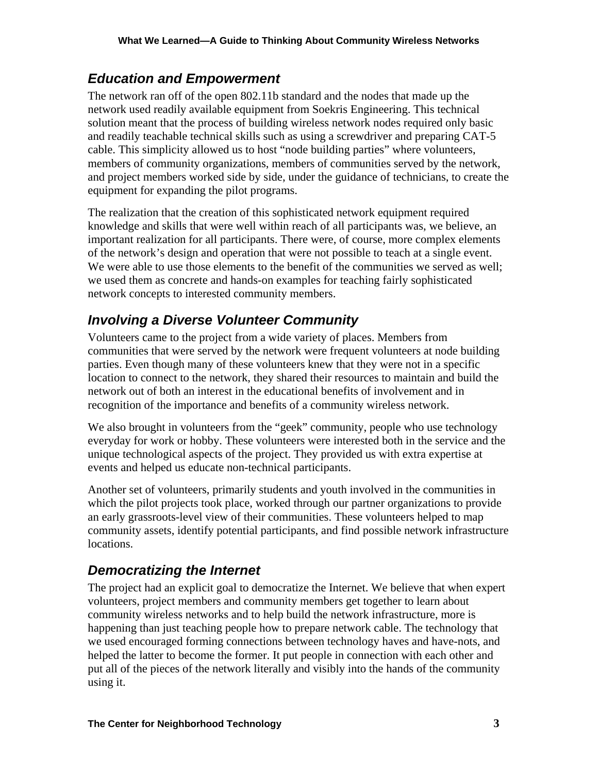## *Education and Empowerment*

The network ran off of the open 802.11b standard and the nodes that made up the network used readily available equipment from Soekris Engineering. This technical solution meant that the process of building wireless network nodes required only basic and readily teachable technical skills such as using a screwdriver and preparing CAT-5 cable. This simplicity allowed us to host "node building parties" where volunteers, members of community organizations, members of communities served by the network, and project members worked side by side, under the guidance of technicians, to create the equipment for expanding the pilot programs.

The realization that the creation of this sophisticated network equipment required knowledge and skills that were well within reach of all participants was, we believe, an important realization for all participants. There were, of course, more complex elements of the network's design and operation that were not possible to teach at a single event. We were able to use those elements to the benefit of the communities we served as well; we used them as concrete and hands-on examples for teaching fairly sophisticated network concepts to interested community members.

## *Involving a Diverse Volunteer Community*

Volunteers came to the project from a wide variety of places. Members from communities that were served by the network were frequent volunteers at node building parties. Even though many of these volunteers knew that they were not in a specific location to connect to the network, they shared their resources to maintain and build the network out of both an interest in the educational benefits of involvement and in recognition of the importance and benefits of a community wireless network.

We also brought in volunteers from the "geek" community, people who use technology everyday for work or hobby. These volunteers were interested both in the service and the unique technological aspects of the project. They provided us with extra expertise at events and helped us educate non-technical participants.

Another set of volunteers, primarily students and youth involved in the communities in which the pilot projects took place, worked through our partner organizations to provide an early grassroots-level view of their communities. These volunteers helped to map community assets, identify potential participants, and find possible network infrastructure locations.

## *Democratizing the Internet*

The project had an explicit goal to democratize the Internet. We believe that when expert volunteers, project members and community members get together to learn about community wireless networks and to help build the network infrastructure, more is happening than just teaching people how to prepare network cable. The technology that we used encouraged forming connections between technology haves and have-nots, and helped the latter to become the former. It put people in connection with each other and put all of the pieces of the network literally and visibly into the hands of the community using it.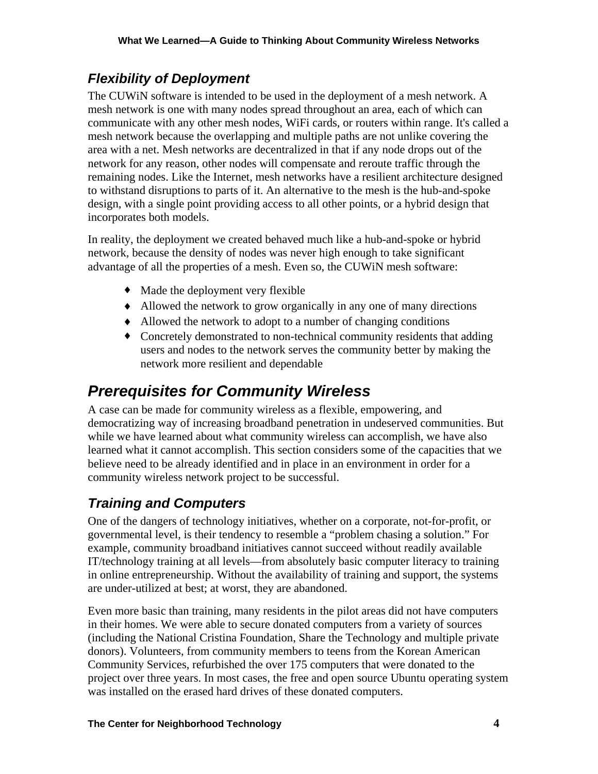# *Flexibility of Deployment*

The CUWiN software is intended to be used in the deployment of a mesh network. A mesh network is one with many nodes spread throughout an area, each of which can communicate with any other mesh nodes, WiFi cards, or routers within range. It's called a mesh network because the overlapping and multiple paths are not unlike covering the area with a net. Mesh networks are decentralized in that if any node drops out of the network for any reason, other nodes will compensate and reroute traffic through the remaining nodes. Like the Internet, mesh networks have a resilient architecture designed to withstand disruptions to parts of it. An alternative to the mesh is the hub-and-spoke design, with a single point providing access to all other points, or a hybrid design that incorporates both models.

In reality, the deployment we created behaved much like a hub-and-spoke or hybrid network, because the density of nodes was never high enough to take significant advantage of all the properties of a mesh. Even so, the CUWiN mesh software:

- ♦ Made the deployment very flexible
- ♦ Allowed the network to grow organically in any one of many directions
- ♦ Allowed the network to adopt to a number of changing conditions
- ♦ Concretely demonstrated to non-technical community residents that adding users and nodes to the network serves the community better by making the network more resilient and dependable

# *Prerequisites for Community Wireless*

A case can be made for community wireless as a flexible, empowering, and democratizing way of increasing broadband penetration in undeserved communities. But while we have learned about what community wireless can accomplish, we have also learned what it cannot accomplish. This section considers some of the capacities that we believe need to be already identified and in place in an environment in order for a community wireless network project to be successful.

# *Training and Computers*

One of the dangers of technology initiatives, whether on a corporate, not-for-profit, or governmental level, is their tendency to resemble a "problem chasing a solution." For example, community broadband initiatives cannot succeed without readily available IT/technology training at all levels—from absolutely basic computer literacy to training in online entrepreneurship. Without the availability of training and support, the systems are under-utilized at best; at worst, they are abandoned.

Even more basic than training, many residents in the pilot areas did not have computers in their homes. We were able to secure donated computers from a variety of sources (including the National Cristina Foundation, Share the Technology and multiple private donors). Volunteers, from community members to teens from the Korean American Community Services, refurbished the over 175 computers that were donated to the project over three years. In most cases, the free and open source Ubuntu operating system was installed on the erased hard drives of these donated computers.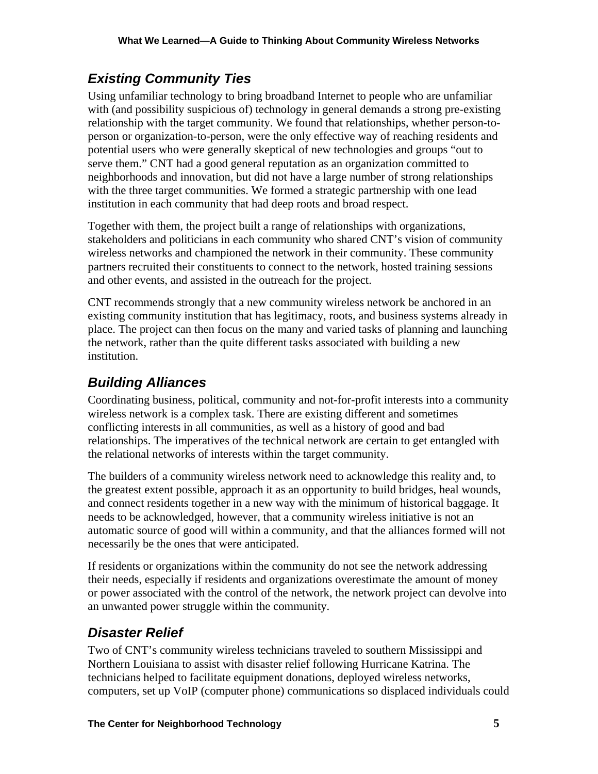# *Existing Community Ties*

Using unfamiliar technology to bring broadband Internet to people who are unfamiliar with (and possibility suspicious of) technology in general demands a strong pre-existing relationship with the target community. We found that relationships, whether person-toperson or organization-to-person, were the only effective way of reaching residents and potential users who were generally skeptical of new technologies and groups "out to serve them." CNT had a good general reputation as an organization committed to neighborhoods and innovation, but did not have a large number of strong relationships with the three target communities. We formed a strategic partnership with one lead institution in each community that had deep roots and broad respect.

Together with them, the project built a range of relationships with organizations, stakeholders and politicians in each community who shared CNT's vision of community wireless networks and championed the network in their community. These community partners recruited their constituents to connect to the network, hosted training sessions and other events, and assisted in the outreach for the project.

CNT recommends strongly that a new community wireless network be anchored in an existing community institution that has legitimacy, roots, and business systems already in place. The project can then focus on the many and varied tasks of planning and launching the network, rather than the quite different tasks associated with building a new institution.

# *Building Alliances*

Coordinating business, political, community and not-for-profit interests into a community wireless network is a complex task. There are existing different and sometimes conflicting interests in all communities, as well as a history of good and bad relationships. The imperatives of the technical network are certain to get entangled with the relational networks of interests within the target community.

The builders of a community wireless network need to acknowledge this reality and, to the greatest extent possible, approach it as an opportunity to build bridges, heal wounds, and connect residents together in a new way with the minimum of historical baggage. It needs to be acknowledged, however, that a community wireless initiative is not an automatic source of good will within a community, and that the alliances formed will not necessarily be the ones that were anticipated.

If residents or organizations within the community do not see the network addressing their needs, especially if residents and organizations overestimate the amount of money or power associated with the control of the network, the network project can devolve into an unwanted power struggle within the community.

# *Disaster Relief*

Two of CNT's community wireless technicians traveled to southern Mississippi and Northern Louisiana to assist with disaster relief following Hurricane Katrina. The technicians helped to facilitate equipment donations, deployed wireless networks, computers, set up VoIP (computer phone) communications so displaced individuals could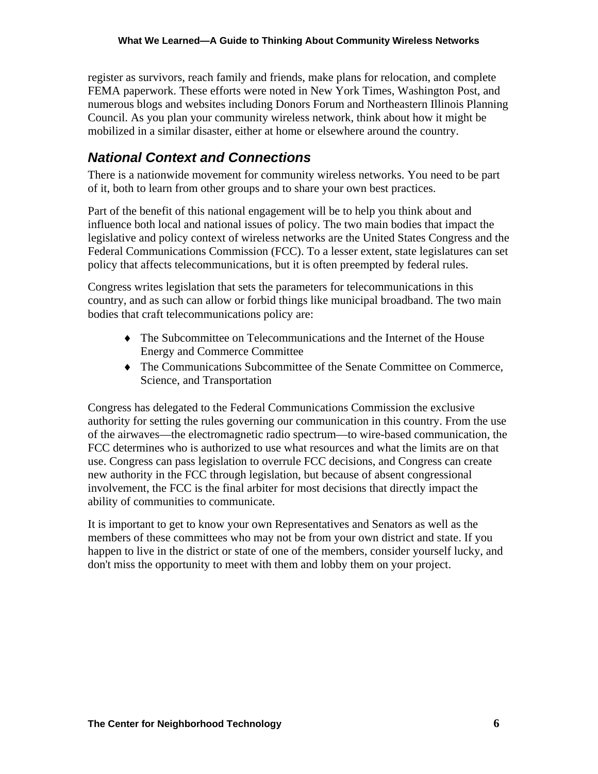register as survivors, reach family and friends, make plans for relocation, and complete FEMA paperwork. These efforts were noted in New York Times, Washington Post, and numerous blogs and websites including Donors Forum and Northeastern Illinois Planning Council. As you plan your community wireless network, think about how it might be mobilized in a similar disaster, either at home or elsewhere around the country.

# *National Context and Connections*

There is a nationwide movement for community wireless networks. You need to be part of it, both to learn from other groups and to share your own best practices.

Part of the benefit of this national engagement will be to help you think about and influence both local and national issues of policy. The two main bodies that impact the legislative and policy context of wireless networks are the United States Congress and the Federal Communications Commission (FCC). To a lesser extent, state legislatures can set policy that affects telecommunications, but it is often preempted by federal rules.

Congress writes legislation that sets the parameters for telecommunications in this country, and as such can allow or forbid things like municipal broadband. The two main bodies that craft telecommunications policy are:

- ♦ The Subcommittee on Telecommunications and the Internet of the House Energy and Commerce Committee
- ♦ The Communications Subcommittee of the Senate Committee on Commerce, Science, and Transportation

Congress has delegated to the Federal Communications Commission the exclusive authority for setting the rules governing our communication in this country. From the use of the airwaves—the electromagnetic radio spectrum—to wire-based communication, the FCC determines who is authorized to use what resources and what the limits are on that use. Congress can pass legislation to overrule FCC decisions, and Congress can create new authority in the FCC through legislation, but because of absent congressional involvement, the FCC is the final arbiter for most decisions that directly impact the ability of communities to communicate.

It is important to get to know your own Representatives and Senators as well as the members of these committees who may not be from your own district and state. If you happen to live in the district or state of one of the members, consider yourself lucky, and don't miss the opportunity to meet with them and lobby them on your project.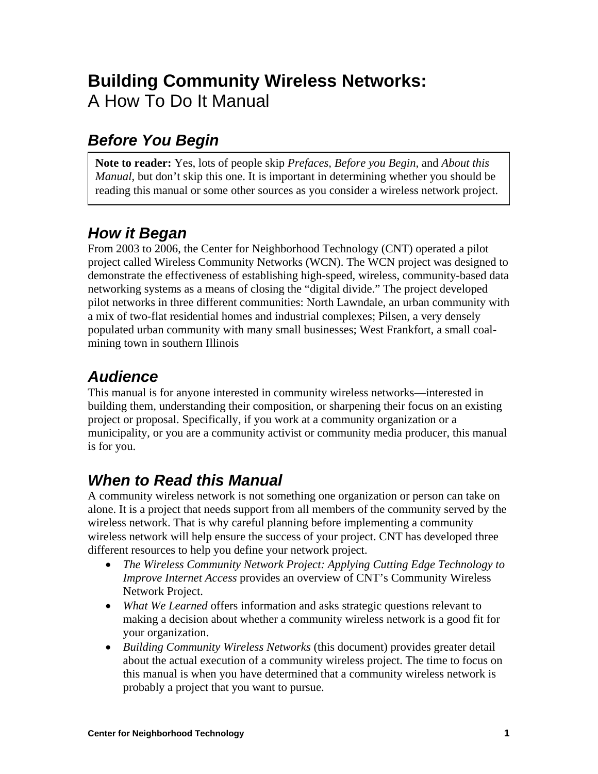# **Building Community Wireless Networks:**  A How To Do It Manual

# *Before You Begin*

**Note to reader:** Yes, lots of people skip *Prefaces, Before you Begin,* and *About this Manual*, but don't skip this one. It is important in determining whether you should be reading this manual or some other sources as you consider a wireless network project.

# *How it Began*

From 2003 to 2006, the Center for Neighborhood Technology (CNT) operated a pilot project called Wireless Community Networks (WCN). The WCN project was designed to demonstrate the effectiveness of establishing high-speed, wireless, community-based data networking systems as a means of closing the "digital divide." The project developed pilot networks in three different communities: North Lawndale, an urban community with a mix of two-flat residential homes and industrial complexes; Pilsen, a very densely populated urban community with many small businesses; West Frankfort, a small coalmining town in southern Illinois

# *Audience*

This manual is for anyone interested in community wireless networks—interested in building them, understanding their composition, or sharpening their focus on an existing project or proposal. Specifically, if you work at a community organization or a municipality, or you are a community activist or community media producer, this manual is for you.

# *When to Read this Manual*

A community wireless network is not something one organization or person can take on alone. It is a project that needs support from all members of the community served by the wireless network. That is why careful planning before implementing a community wireless network will help ensure the success of your project. CNT has developed three different resources to help you define your network project.

- *The Wireless Community Network Project: Applying Cutting Edge Technology to Improve Internet Access* provides an overview of CNT's Community Wireless Network Project.
- *What We Learned* offers information and asks strategic questions relevant to making a decision about whether a community wireless network is a good fit for your organization.
- *Building Community Wireless Networks* (this document) provides greater detail about the actual execution of a community wireless project. The time to focus on this manual is when you have determined that a community wireless network is probably a project that you want to pursue.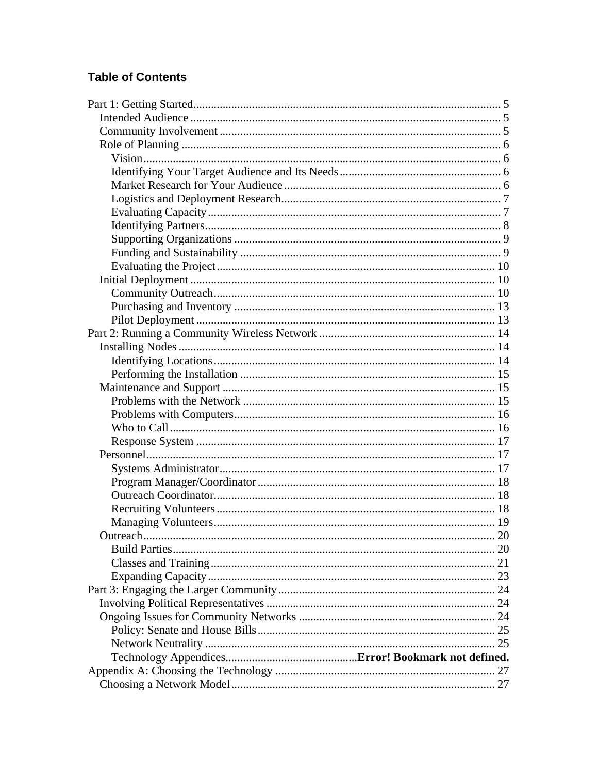## **Table of Contents**

| Outreach |  |
|----------|--|
|          |  |
|          |  |
|          |  |
|          |  |
|          |  |
|          |  |
|          |  |
|          |  |
|          |  |
|          |  |
|          |  |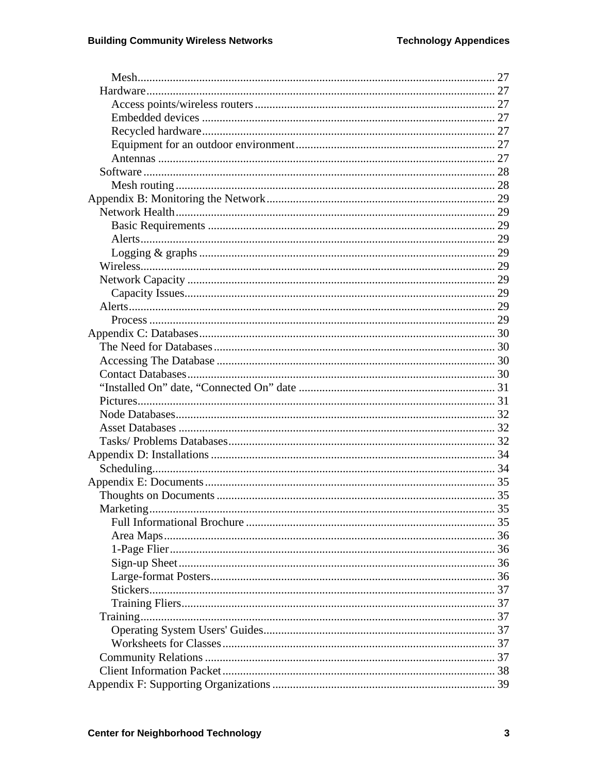| Marketing | -35 |
|-----------|-----|
|           |     |
|           |     |
|           |     |
|           |     |
|           |     |
|           |     |
|           |     |
|           |     |
|           |     |
|           |     |
|           |     |
|           |     |
|           |     |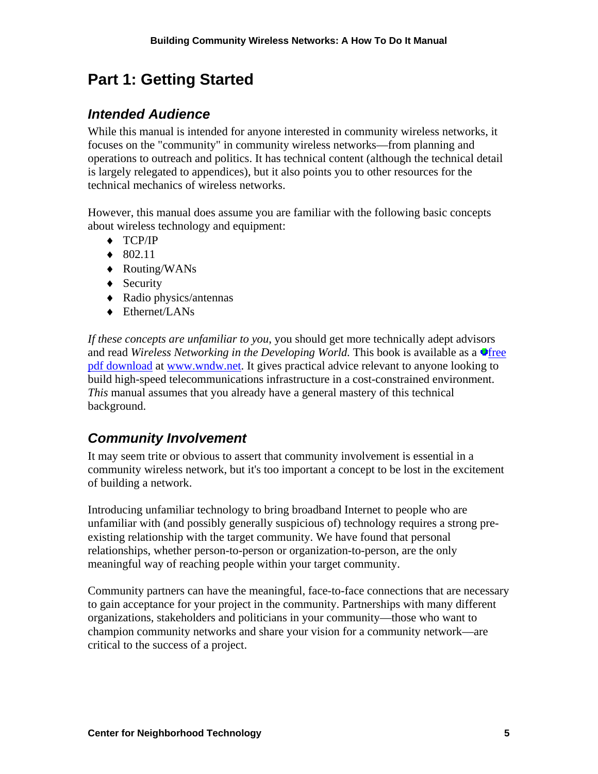# **Part 1: Getting Started**

# *Intended Audience*

While this manual is intended for anyone interested in community wireless networks, it focuses on the "community" in community wireless networks—from planning and operations to outreach and politics. It has technical content (although the technical detail is largely relegated to appendices), but it also points you to other resources for the technical mechanics of wireless networks.

However, this manual does assume you are familiar with the following basic concepts about wireless technology and equipment:

- ♦ TCP/IP
- $\triangleleft$  802.11
- ♦ Routing/WANs
- ◆ Security
- ♦ Radio physics/antennas
- ♦ Ethernet/LANs

*If these concepts are unfamiliar to you*, you should get more technically adept advisors and read *Wireless Networking in the Developing World*. This book is available as a **O**free pdf download at www.wndw.net. It gives practical advice relevant to anyone looking to build high-speed telecommunications infrastructure in a cost-constrained environment. *This* manual assumes that you already have a general mastery of this technical background.

# *Community Involvement*

It may seem trite or obvious to assert that community involvement is essential in a community wireless network, but it's too important a concept to be lost in the excitement of building a network.

Introducing unfamiliar technology to bring broadband Internet to people who are unfamiliar with (and possibly generally suspicious of) technology requires a strong preexisting relationship with the target community. We have found that personal relationships, whether person-to-person or organization-to-person, are the only meaningful way of reaching people within your target community.

Community partners can have the meaningful, face-to-face connections that are necessary to gain acceptance for your project in the community. Partnerships with many different organizations, stakeholders and politicians in your community—those who want to champion community networks and share your vision for a community network—are critical to the success of a project.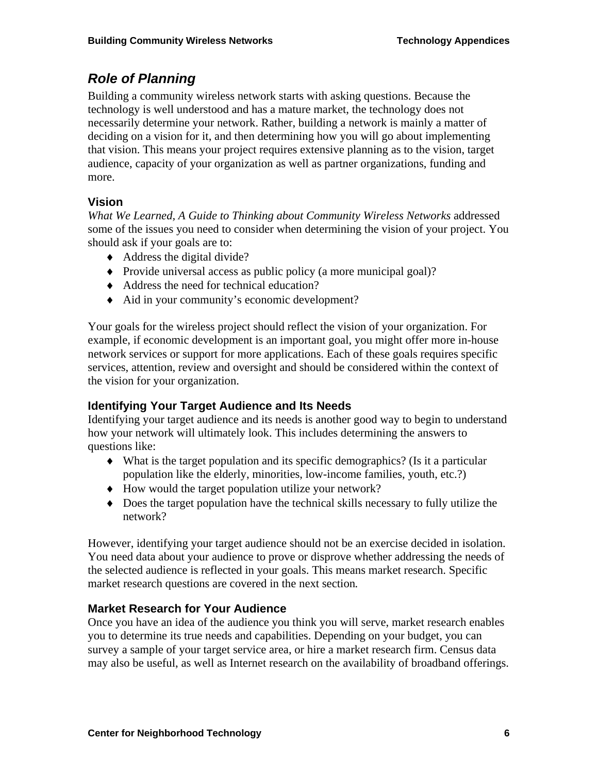# *Role of Planning*

Building a community wireless network starts with asking questions. Because the technology is well understood and has a mature market, the technology does not necessarily determine your network. Rather, building a network is mainly a matter of deciding on a vision for it, and then determining how you will go about implementing that vision. This means your project requires extensive planning as to the vision, target audience, capacity of your organization as well as partner organizations, funding and more.

## **Vision**

*What We Learned, A Guide to Thinking about Community Wireless Networks* addressed some of the issues you need to consider when determining the vision of your project. You should ask if your goals are to:

- $\blacklozenge$  Address the digital divide?
- ♦ Provide universal access as public policy (a more municipal goal)?
- ♦ Address the need for technical education?
- ♦ Aid in your community's economic development?

Your goals for the wireless project should reflect the vision of your organization. For example, if economic development is an important goal, you might offer more in-house network services or support for more applications. Each of these goals requires specific services, attention, review and oversight and should be considered within the context of the vision for your organization.

## **Identifying Your Target Audience and Its Needs**

Identifying your target audience and its needs is another good way to begin to understand how your network will ultimately look. This includes determining the answers to questions like:

- $\blacklozenge$  What is the target population and its specific demographics? (Is it a particular population like the elderly, minorities, low-income families, youth, etc.?)
- ♦ How would the target population utilize your network?
- ♦ Does the target population have the technical skills necessary to fully utilize the network?

However, identifying your target audience should not be an exercise decided in isolation. You need data about your audience to prove or disprove whether addressing the needs of the selected audience is reflected in your goals. This means market research. Specific market research questions are covered in the next section*.* 

### **Market Research for Your Audience**

Once you have an idea of the audience you think you will serve, market research enables you to determine its true needs and capabilities. Depending on your budget, you can survey a sample of your target service area, or hire a market research firm. Census data may also be useful, as well as Internet research on the availability of broadband offerings.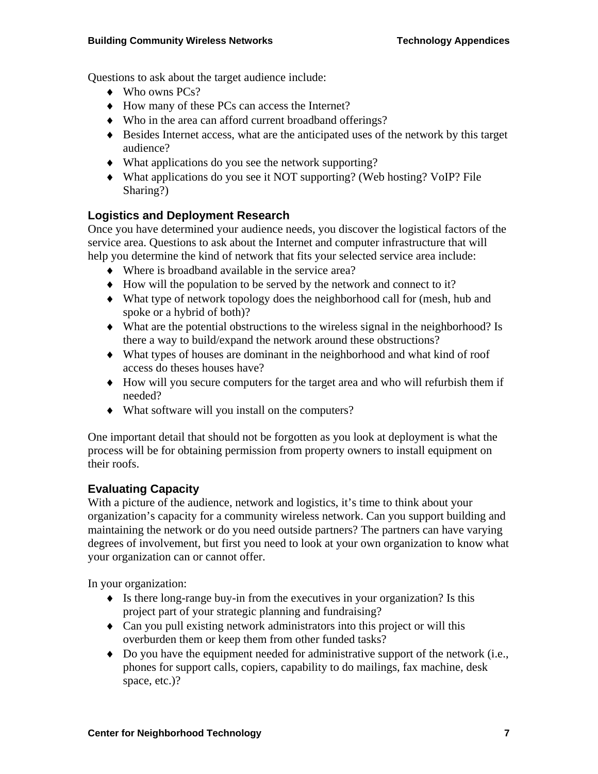Questions to ask about the target audience include:

- ♦ Who owns PCs?
- ♦ How many of these PCs can access the Internet?
- ♦ Who in the area can afford current broadband offerings?
- ♦ Besides Internet access, what are the anticipated uses of the network by this target audience?
- ♦ What applications do you see the network supporting?
- ♦ What applications do you see it NOT supporting? (Web hosting? VoIP? File Sharing?)

### **Logistics and Deployment Research**

Once you have determined your audience needs, you discover the logistical factors of the service area. Questions to ask about the Internet and computer infrastructure that will help you determine the kind of network that fits your selected service area include:

- ♦ Where is broadband available in the service area?
- ♦ How will the population to be served by the network and connect to it?
- ♦ What type of network topology does the neighborhood call for (mesh, hub and spoke or a hybrid of both)?
- ♦ What are the potential obstructions to the wireless signal in the neighborhood? Is there a way to build/expand the network around these obstructions?
- ♦ What types of houses are dominant in the neighborhood and what kind of roof access do theses houses have?
- ♦ How will you secure computers for the target area and who will refurbish them if needed?
- ♦ What software will you install on the computers?

One important detail that should not be forgotten as you look at deployment is what the process will be for obtaining permission from property owners to install equipment on their roofs.

#### **Evaluating Capacity**

With a picture of the audience, network and logistics, it's time to think about your organization's capacity for a community wireless network. Can you support building and maintaining the network or do you need outside partners? The partners can have varying degrees of involvement, but first you need to look at your own organization to know what your organization can or cannot offer.

In your organization:

- $\bullet$  Is there long-range buy-in from the executives in your organization? Is this project part of your strategic planning and fundraising?
- ♦ Can you pull existing network administrators into this project or will this overburden them or keep them from other funded tasks?
- $\bullet$  Do you have the equipment needed for administrative support of the network (i.e., phones for support calls, copiers, capability to do mailings, fax machine, desk space, etc.)?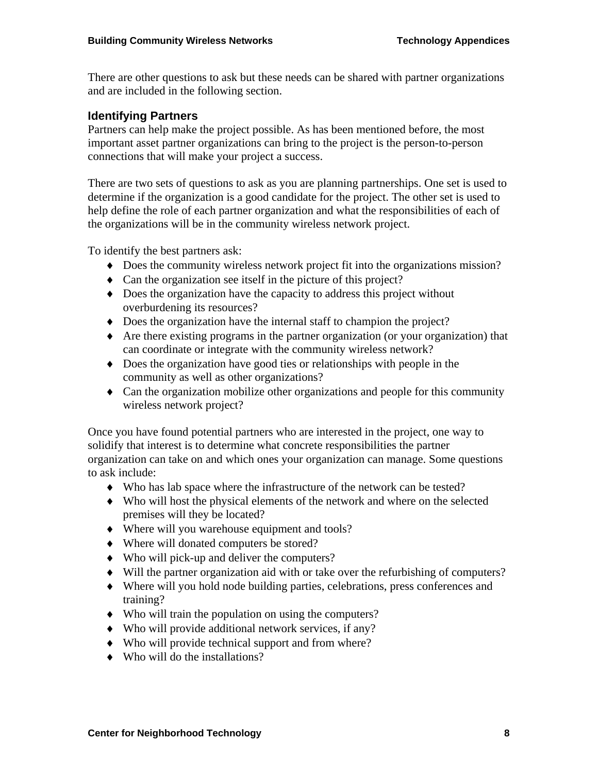There are other questions to ask but these needs can be shared with partner organizations and are included in the following section.

#### **Identifying Partners**

Partners can help make the project possible. As has been mentioned before, the most important asset partner organizations can bring to the project is the person-to-person connections that will make your project a success.

There are two sets of questions to ask as you are planning partnerships. One set is used to determine if the organization is a good candidate for the project. The other set is used to help define the role of each partner organization and what the responsibilities of each of the organizations will be in the community wireless network project.

To identify the best partners ask:

- ♦ Does the community wireless network project fit into the organizations mission?
- ♦ Can the organization see itself in the picture of this project?
- ♦ Does the organization have the capacity to address this project without overburdening its resources?
- ♦ Does the organization have the internal staff to champion the project?
- ♦ Are there existing programs in the partner organization (or your organization) that can coordinate or integrate with the community wireless network?
- ♦ Does the organization have good ties or relationships with people in the community as well as other organizations?
- ♦ Can the organization mobilize other organizations and people for this community wireless network project?

Once you have found potential partners who are interested in the project, one way to solidify that interest is to determine what concrete responsibilities the partner organization can take on and which ones your organization can manage. Some questions to ask include:

- ♦ Who has lab space where the infrastructure of the network can be tested?
- ♦ Who will host the physical elements of the network and where on the selected premises will they be located?
- ♦ Where will you warehouse equipment and tools?
- ♦ Where will donated computers be stored?
- ♦ Who will pick-up and deliver the computers?
- ♦ Will the partner organization aid with or take over the refurbishing of computers?
- ♦ Where will you hold node building parties, celebrations, press conferences and training?
- ♦ Who will train the population on using the computers?
- ♦ Who will provide additional network services, if any?
- ♦ Who will provide technical support and from where?
- ♦ Who will do the installations?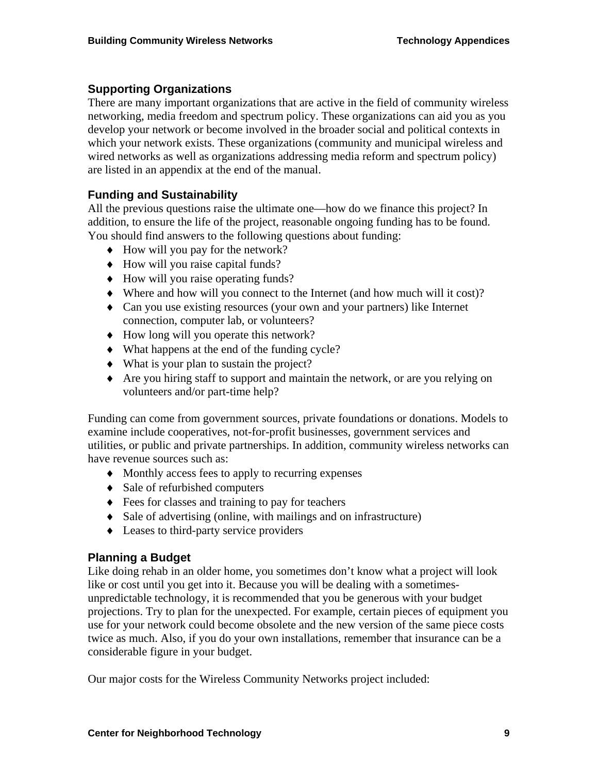### **Supporting Organizations**

There are many important organizations that are active in the field of community wireless networking, media freedom and spectrum policy. These organizations can aid you as you develop your network or become involved in the broader social and political contexts in which your network exists. These organizations (community and municipal wireless and wired networks as well as organizations addressing media reform and spectrum policy) are listed in an appendix at the end of the manual.

### **Funding and Sustainability**

All the previous questions raise the ultimate one—how do we finance this project? In addition, to ensure the life of the project, reasonable ongoing funding has to be found. You should find answers to the following questions about funding:

- $\blacklozenge$  How will you pay for the network?
- ♦ How will you raise capital funds?
- ♦ How will you raise operating funds?
- ♦ Where and how will you connect to the Internet (and how much will it cost)?
- ♦ Can you use existing resources (your own and your partners) like Internet connection, computer lab, or volunteers?
- ♦ How long will you operate this network?
- ♦ What happens at the end of the funding cycle?
- ♦ What is your plan to sustain the project?
- ♦ Are you hiring staff to support and maintain the network, or are you relying on volunteers and/or part-time help?

Funding can come from government sources, private foundations or donations. Models to examine include cooperatives, not-for-profit businesses, government services and utilities, or public and private partnerships. In addition, community wireless networks can have revenue sources such as:

- ♦ Monthly access fees to apply to recurring expenses
- ♦ Sale of refurbished computers
- ♦ Fees for classes and training to pay for teachers
- ♦ Sale of advertising (online, with mailings and on infrastructure)
- ♦ Leases to third-party service providers

### **Planning a Budget**

Like doing rehab in an older home, you sometimes don't know what a project will look like or cost until you get into it. Because you will be dealing with a sometimesunpredictable technology, it is recommended that you be generous with your budget projections. Try to plan for the unexpected. For example, certain pieces of equipment you use for your network could become obsolete and the new version of the same piece costs twice as much. Also, if you do your own installations, remember that insurance can be a considerable figure in your budget.

Our major costs for the Wireless Community Networks project included: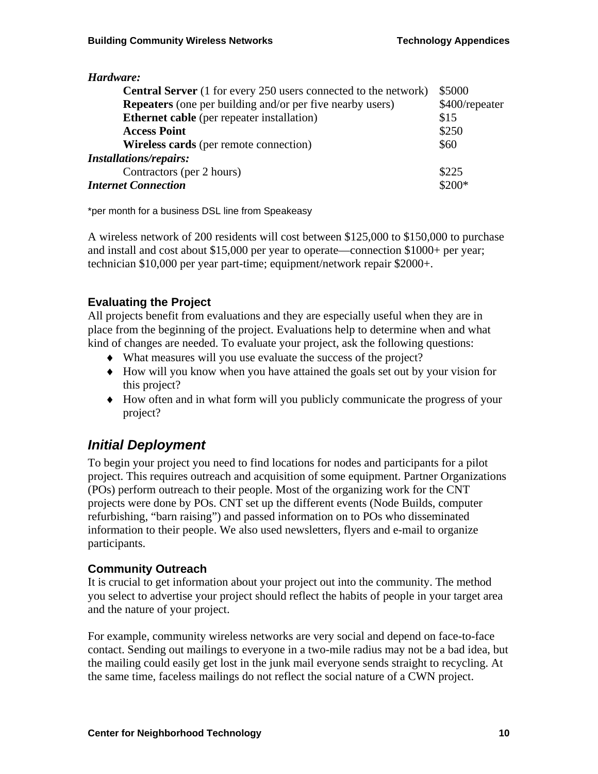| Hardware:                                                              |                |
|------------------------------------------------------------------------|----------------|
| <b>Central Server</b> (1 for every 250 users connected to the network) | \$5000         |
| <b>Repeaters</b> (one per building and/or per five nearby users)       | \$400/repeater |
| <b>Ethernet cable</b> (per repeater installation)                      | \$15           |
| <b>Access Point</b>                                                    | \$250          |
| <b>Wireless cards</b> (per remote connection)                          | \$60           |
| <b>Installations/repairs:</b>                                          |                |
| Contractors (per 2 hours)                                              | \$225          |
| <b>Internet Connection</b>                                             | $$200*$        |

\*per month for a business DSL line from Speakeasy

A wireless network of 200 residents will cost between \$125,000 to \$150,000 to purchase and install and cost about \$15,000 per year to operate—connection \$1000+ per year; technician \$10,000 per year part-time; equipment/network repair \$2000+.

### **Evaluating the Project**

All projects benefit from evaluations and they are especially useful when they are in place from the beginning of the project. Evaluations help to determine when and what kind of changes are needed. To evaluate your project, ask the following questions:

- ♦ What measures will you use evaluate the success of the project?
- ♦ How will you know when you have attained the goals set out by your vision for this project?
- ♦ How often and in what form will you publicly communicate the progress of your project?

## *Initial Deployment*

To begin your project you need to find locations for nodes and participants for a pilot project. This requires outreach and acquisition of some equipment. Partner Organizations (POs) perform outreach to their people. Most of the organizing work for the CNT projects were done by POs. CNT set up the different events (Node Builds, computer refurbishing, "barn raising") and passed information on to POs who disseminated information to their people. We also used newsletters, flyers and e-mail to organize participants.

#### **Community Outreach**

It is crucial to get information about your project out into the community. The method you select to advertise your project should reflect the habits of people in your target area and the nature of your project.

For example, community wireless networks are very social and depend on face-to-face contact. Sending out mailings to everyone in a two-mile radius may not be a bad idea, but the mailing could easily get lost in the junk mail everyone sends straight to recycling. At the same time, faceless mailings do not reflect the social nature of a CWN project.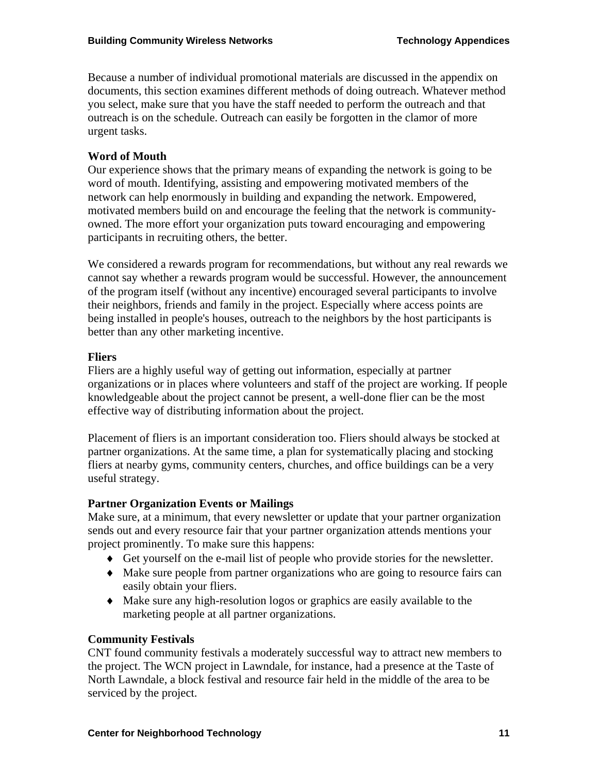Because a number of individual promotional materials are discussed in the appendix on documents, this section examines different methods of doing outreach. Whatever method you select, make sure that you have the staff needed to perform the outreach and that outreach is on the schedule. Outreach can easily be forgotten in the clamor of more urgent tasks.

#### **Word of Mouth**

Our experience shows that the primary means of expanding the network is going to be word of mouth. Identifying, assisting and empowering motivated members of the network can help enormously in building and expanding the network. Empowered, motivated members build on and encourage the feeling that the network is communityowned. The more effort your organization puts toward encouraging and empowering participants in recruiting others, the better.

We considered a rewards program for recommendations, but without any real rewards we cannot say whether a rewards program would be successful. However, the announcement of the program itself (without any incentive) encouraged several participants to involve their neighbors, friends and family in the project. Especially where access points are being installed in people's houses, outreach to the neighbors by the host participants is better than any other marketing incentive.

#### **Fliers**

Fliers are a highly useful way of getting out information, especially at partner organizations or in places where volunteers and staff of the project are working. If people knowledgeable about the project cannot be present, a well-done flier can be the most effective way of distributing information about the project.

Placement of fliers is an important consideration too. Fliers should always be stocked at partner organizations. At the same time, a plan for systematically placing and stocking fliers at nearby gyms, community centers, churches, and office buildings can be a very useful strategy.

#### **Partner Organization Events or Mailings**

Make sure, at a minimum, that every newsletter or update that your partner organization sends out and every resource fair that your partner organization attends mentions your project prominently. To make sure this happens:

- ♦ Get yourself on the e-mail list of people who provide stories for the newsletter.
- ♦ Make sure people from partner organizations who are going to resource fairs can easily obtain your fliers.
- ♦ Make sure any high-resolution logos or graphics are easily available to the marketing people at all partner organizations.

#### **Community Festivals**

CNT found community festivals a moderately successful way to attract new members to the project. The WCN project in Lawndale, for instance, had a presence at the Taste of North Lawndale, a block festival and resource fair held in the middle of the area to be serviced by the project.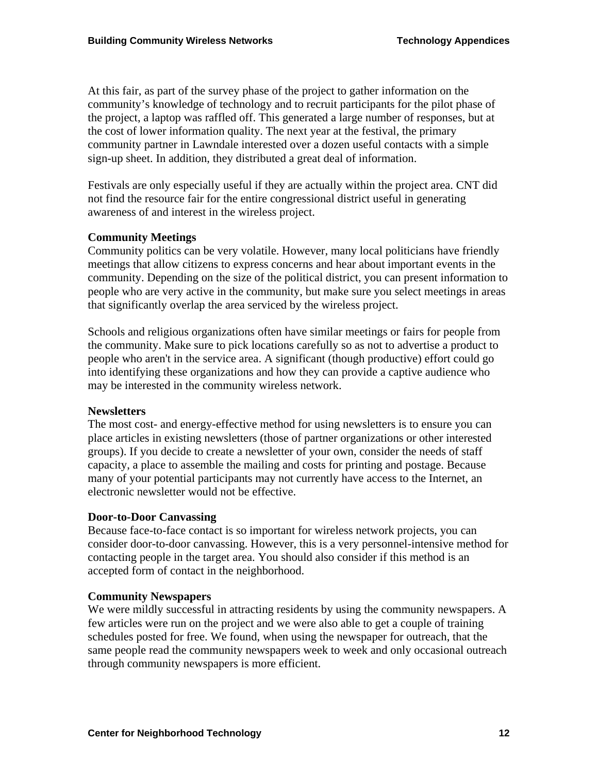At this fair, as part of the survey phase of the project to gather information on the community's knowledge of technology and to recruit participants for the pilot phase of the project, a laptop was raffled off. This generated a large number of responses, but at the cost of lower information quality. The next year at the festival, the primary community partner in Lawndale interested over a dozen useful contacts with a simple sign-up sheet. In addition, they distributed a great deal of information.

Festivals are only especially useful if they are actually within the project area. CNT did not find the resource fair for the entire congressional district useful in generating awareness of and interest in the wireless project.

#### **Community Meetings**

Community politics can be very volatile. However, many local politicians have friendly meetings that allow citizens to express concerns and hear about important events in the community. Depending on the size of the political district, you can present information to people who are very active in the community, but make sure you select meetings in areas that significantly overlap the area serviced by the wireless project.

Schools and religious organizations often have similar meetings or fairs for people from the community. Make sure to pick locations carefully so as not to advertise a product to people who aren't in the service area. A significant (though productive) effort could go into identifying these organizations and how they can provide a captive audience who may be interested in the community wireless network.

#### **Newsletters**

The most cost- and energy-effective method for using newsletters is to ensure you can place articles in existing newsletters (those of partner organizations or other interested groups). If you decide to create a newsletter of your own, consider the needs of staff capacity, a place to assemble the mailing and costs for printing and postage. Because many of your potential participants may not currently have access to the Internet, an electronic newsletter would not be effective.

#### **Door-to-Door Canvassing**

Because face-to-face contact is so important for wireless network projects, you can consider door-to-door canvassing. However, this is a very personnel-intensive method for contacting people in the target area. You should also consider if this method is an accepted form of contact in the neighborhood.

#### **Community Newspapers**

We were mildly successful in attracting residents by using the community newspapers. A few articles were run on the project and we were also able to get a couple of training schedules posted for free. We found, when using the newspaper for outreach, that the same people read the community newspapers week to week and only occasional outreach through community newspapers is more efficient.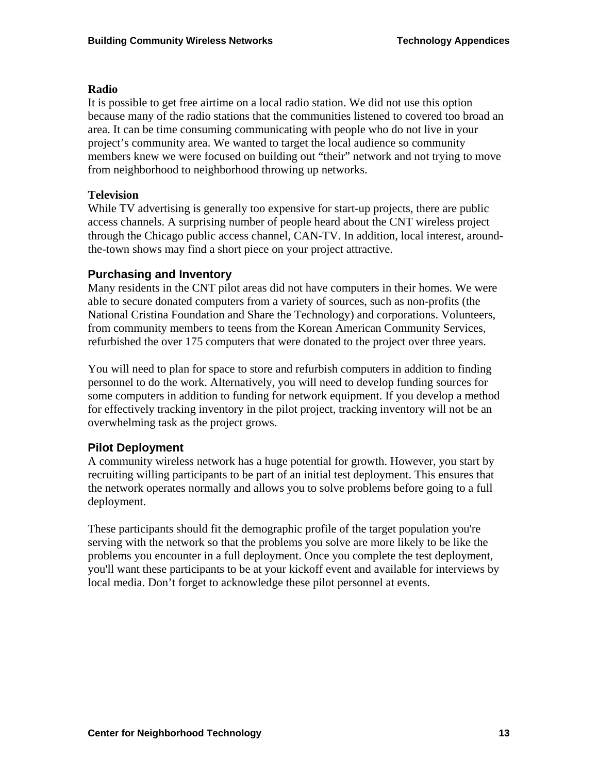#### **Radio**

It is possible to get free airtime on a local radio station. We did not use this option because many of the radio stations that the communities listened to covered too broad an area. It can be time consuming communicating with people who do not live in your project's community area. We wanted to target the local audience so community members knew we were focused on building out "their" network and not trying to move from neighborhood to neighborhood throwing up networks.

#### **Television**

While TV advertising is generally too expensive for start-up projects, there are public access channels. A surprising number of people heard about the CNT wireless project through the Chicago public access channel, CAN-TV. In addition, local interest, aroundthe-town shows may find a short piece on your project attractive.

#### **Purchasing and Inventory**

Many residents in the CNT pilot areas did not have computers in their homes. We were able to secure donated computers from a variety of sources, such as non-profits (the National Cristina Foundation and Share the Technology) and corporations. Volunteers, from community members to teens from the Korean American Community Services, refurbished the over 175 computers that were donated to the project over three years.

You will need to plan for space to store and refurbish computers in addition to finding personnel to do the work. Alternatively, you will need to develop funding sources for some computers in addition to funding for network equipment. If you develop a method for effectively tracking inventory in the pilot project, tracking inventory will not be an overwhelming task as the project grows.

### **Pilot Deployment**

A community wireless network has a huge potential for growth. However, you start by recruiting willing participants to be part of an initial test deployment. This ensures that the network operates normally and allows you to solve problems before going to a full deployment.

These participants should fit the demographic profile of the target population you're serving with the network so that the problems you solve are more likely to be like the problems you encounter in a full deployment. Once you complete the test deployment, you'll want these participants to be at your kickoff event and available for interviews by local media. Don't forget to acknowledge these pilot personnel at events.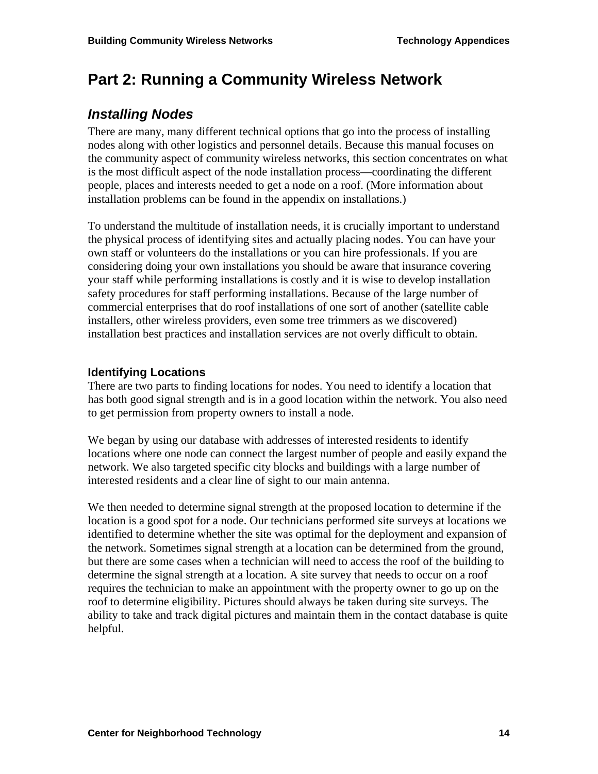# **Part 2: Running a Community Wireless Network**

## *Installing Nodes*

There are many, many different technical options that go into the process of installing nodes along with other logistics and personnel details. Because this manual focuses on the community aspect of community wireless networks, this section concentrates on what is the most difficult aspect of the node installation process—coordinating the different people, places and interests needed to get a node on a roof. (More information about installation problems can be found in the appendix on installations.)

To understand the multitude of installation needs, it is crucially important to understand the physical process of identifying sites and actually placing nodes. You can have your own staff or volunteers do the installations or you can hire professionals. If you are considering doing your own installations you should be aware that insurance covering your staff while performing installations is costly and it is wise to develop installation safety procedures for staff performing installations. Because of the large number of commercial enterprises that do roof installations of one sort of another (satellite cable installers, other wireless providers, even some tree trimmers as we discovered) installation best practices and installation services are not overly difficult to obtain.

### **Identifying Locations**

There are two parts to finding locations for nodes. You need to identify a location that has both good signal strength and is in a good location within the network. You also need to get permission from property owners to install a node.

We began by using our database with addresses of interested residents to identify locations where one node can connect the largest number of people and easily expand the network. We also targeted specific city blocks and buildings with a large number of interested residents and a clear line of sight to our main antenna.

We then needed to determine signal strength at the proposed location to determine if the location is a good spot for a node. Our technicians performed site surveys at locations we identified to determine whether the site was optimal for the deployment and expansion of the network. Sometimes signal strength at a location can be determined from the ground, but there are some cases when a technician will need to access the roof of the building to determine the signal strength at a location. A site survey that needs to occur on a roof requires the technician to make an appointment with the property owner to go up on the roof to determine eligibility. Pictures should always be taken during site surveys. The ability to take and track digital pictures and maintain them in the contact database is quite helpful.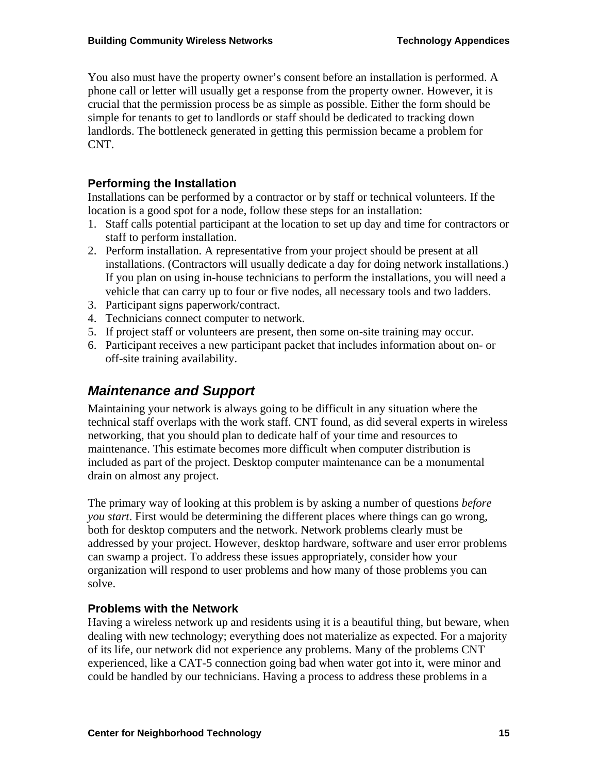You also must have the property owner's consent before an installation is performed. A phone call or letter will usually get a response from the property owner. However, it is crucial that the permission process be as simple as possible. Either the form should be simple for tenants to get to landlords or staff should be dedicated to tracking down landlords. The bottleneck generated in getting this permission became a problem for CNT.

### **Performing the Installation**

Installations can be performed by a contractor or by staff or technical volunteers. If the location is a good spot for a node, follow these steps for an installation:

- 1. Staff calls potential participant at the location to set up day and time for contractors or staff to perform installation.
- 2. Perform installation. A representative from your project should be present at all installations. (Contractors will usually dedicate a day for doing network installations.) If you plan on using in-house technicians to perform the installations, you will need a vehicle that can carry up to four or five nodes, all necessary tools and two ladders.
- 3. Participant signs paperwork/contract.
- 4. Technicians connect computer to network.
- 5. If project staff or volunteers are present, then some on-site training may occur.
- 6. Participant receives a new participant packet that includes information about on- or off-site training availability.

## *Maintenance and Support*

Maintaining your network is always going to be difficult in any situation where the technical staff overlaps with the work staff. CNT found, as did several experts in wireless networking, that you should plan to dedicate half of your time and resources to maintenance. This estimate becomes more difficult when computer distribution is included as part of the project. Desktop computer maintenance can be a monumental drain on almost any project.

The primary way of looking at this problem is by asking a number of questions *before you start*. First would be determining the different places where things can go wrong, both for desktop computers and the network. Network problems clearly must be addressed by your project. However, desktop hardware, software and user error problems can swamp a project. To address these issues appropriately, consider how your organization will respond to user problems and how many of those problems you can solve.

#### **Problems with the Network**

Having a wireless network up and residents using it is a beautiful thing, but beware, when dealing with new technology; everything does not materialize as expected. For a majority of its life, our network did not experience any problems. Many of the problems CNT experienced, like a CAT-5 connection going bad when water got into it, were minor and could be handled by our technicians. Having a process to address these problems in a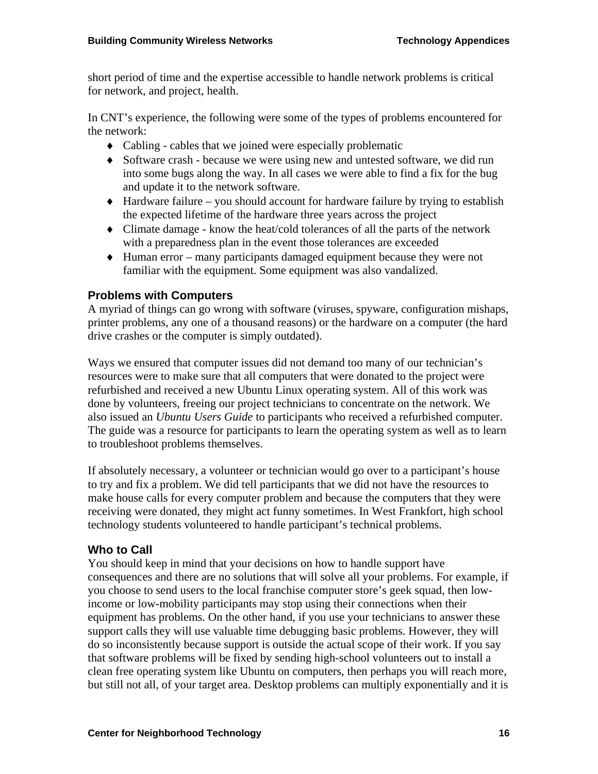short period of time and the expertise accessible to handle network problems is critical for network, and project, health.

In CNT's experience, the following were some of the types of problems encountered for the network:

- ♦ Cabling cables that we joined were especially problematic
- ♦ Software crash because we were using new and untested software, we did run into some bugs along the way. In all cases we were able to find a fix for the bug and update it to the network software.
- ♦ Hardware failure you should account for hardware failure by trying to establish the expected lifetime of the hardware three years across the project
- ♦ Climate damage know the heat/cold tolerances of all the parts of the network with a preparedness plan in the event those tolerances are exceeded
- ♦ Human error many participants damaged equipment because they were not familiar with the equipment. Some equipment was also vandalized.

#### **Problems with Computers**

A myriad of things can go wrong with software (viruses, spyware, configuration mishaps, printer problems, any one of a thousand reasons) or the hardware on a computer (the hard drive crashes or the computer is simply outdated).

Ways we ensured that computer issues did not demand too many of our technician's resources were to make sure that all computers that were donated to the project were refurbished and received a new Ubuntu Linux operating system. All of this work was done by volunteers, freeing our project technicians to concentrate on the network. We also issued an *Ubuntu Users Guide* to participants who received a refurbished computer. The guide was a resource for participants to learn the operating system as well as to learn to troubleshoot problems themselves.

If absolutely necessary, a volunteer or technician would go over to a participant's house to try and fix a problem. We did tell participants that we did not have the resources to make house calls for every computer problem and because the computers that they were receiving were donated, they might act funny sometimes. In West Frankfort, high school technology students volunteered to handle participant's technical problems.

#### **Who to Call**

You should keep in mind that your decisions on how to handle support have consequences and there are no solutions that will solve all your problems. For example, if you choose to send users to the local franchise computer store's geek squad, then lowincome or low-mobility participants may stop using their connections when their equipment has problems. On the other hand, if you use your technicians to answer these support calls they will use valuable time debugging basic problems. However, they will do so inconsistently because support is outside the actual scope of their work. If you say that software problems will be fixed by sending high-school volunteers out to install a clean free operating system like Ubuntu on computers, then perhaps you will reach more, but still not all, of your target area. Desktop problems can multiply exponentially and it is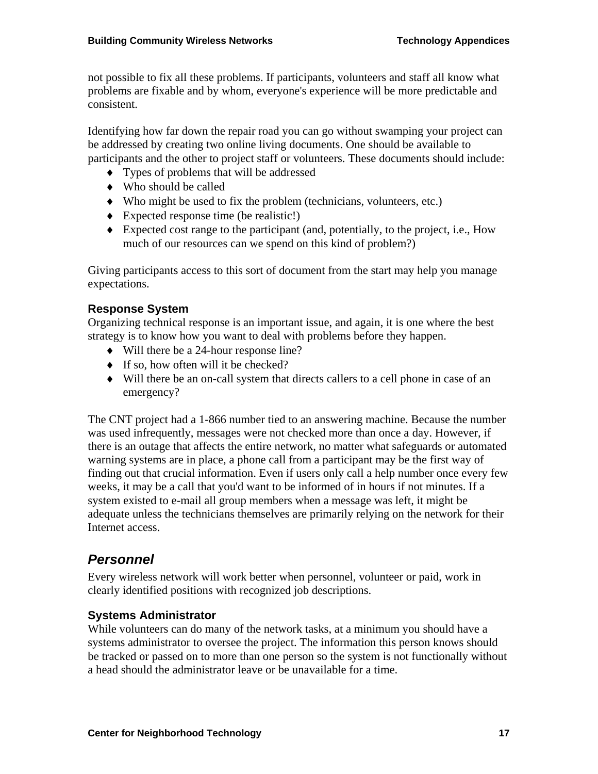not possible to fix all these problems. If participants, volunteers and staff all know what problems are fixable and by whom, everyone's experience will be more predictable and consistent.

Identifying how far down the repair road you can go without swamping your project can be addressed by creating two online living documents. One should be available to participants and the other to project staff or volunteers. These documents should include:

- ♦ Types of problems that will be addressed
- ♦ Who should be called
- ♦ Who might be used to fix the problem (technicians, volunteers, etc.)
- ♦ Expected response time (be realistic!)
- ♦ Expected cost range to the participant (and, potentially, to the project, i.e., How much of our resources can we spend on this kind of problem?)

Giving participants access to this sort of document from the start may help you manage expectations.

### **Response System**

Organizing technical response is an important issue, and again, it is one where the best strategy is to know how you want to deal with problems before they happen.

- ♦ Will there be a 24-hour response line?
- ♦ If so, how often will it be checked?
- ♦ Will there be an on-call system that directs callers to a cell phone in case of an emergency?

The CNT project had a 1-866 number tied to an answering machine. Because the number was used infrequently, messages were not checked more than once a day. However, if there is an outage that affects the entire network, no matter what safeguards or automated warning systems are in place, a phone call from a participant may be the first way of finding out that crucial information. Even if users only call a help number once every few weeks, it may be a call that you'd want to be informed of in hours if not minutes. If a system existed to e-mail all group members when a message was left, it might be adequate unless the technicians themselves are primarily relying on the network for their Internet access.

## *Personnel*

Every wireless network will work better when personnel, volunteer or paid, work in clearly identified positions with recognized job descriptions.

### **Systems Administrator**

While volunteers can do many of the network tasks, at a minimum you should have a systems administrator to oversee the project. The information this person knows should be tracked or passed on to more than one person so the system is not functionally without a head should the administrator leave or be unavailable for a time.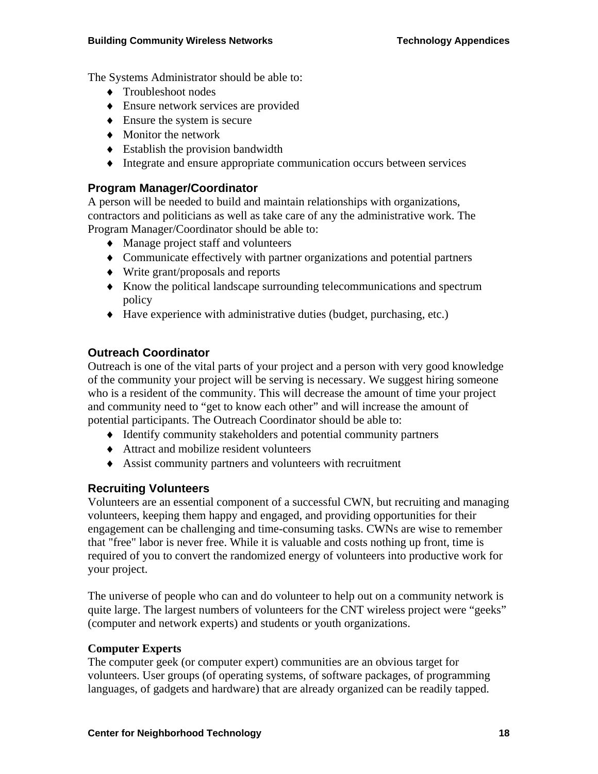The Systems Administrator should be able to:

- ♦ Troubleshoot nodes
- ♦ Ensure network services are provided
- $\triangle$  Ensure the system is secure
- ♦ Monitor the network
- $\bullet$  Establish the provision bandwidth
- ♦ Integrate and ensure appropriate communication occurs between services

#### **Program Manager/Coordinator**

A person will be needed to build and maintain relationships with organizations, contractors and politicians as well as take care of any the administrative work. The Program Manager/Coordinator should be able to:

- ♦ Manage project staff and volunteers
- ♦ Communicate effectively with partner organizations and potential partners
- ♦ Write grant/proposals and reports
- ♦ Know the political landscape surrounding telecommunications and spectrum policy
- ♦ Have experience with administrative duties (budget, purchasing, etc.)

#### **Outreach Coordinator**

Outreach is one of the vital parts of your project and a person with very good knowledge of the community your project will be serving is necessary. We suggest hiring someone who is a resident of the community. This will decrease the amount of time your project and community need to "get to know each other" and will increase the amount of potential participants. The Outreach Coordinator should be able to:

- ♦ Identify community stakeholders and potential community partners
- ♦ Attract and mobilize resident volunteers
- ♦ Assist community partners and volunteers with recruitment

#### **Recruiting Volunteers**

Volunteers are an essential component of a successful CWN, but recruiting and managing volunteers, keeping them happy and engaged, and providing opportunities for their engagement can be challenging and time-consuming tasks. CWNs are wise to remember that "free" labor is never free. While it is valuable and costs nothing up front, time is required of you to convert the randomized energy of volunteers into productive work for your project.

The universe of people who can and do volunteer to help out on a community network is quite large. The largest numbers of volunteers for the CNT wireless project were "geeks" (computer and network experts) and students or youth organizations.

#### **Computer Experts**

The computer geek (or computer expert) communities are an obvious target for volunteers. User groups (of operating systems, of software packages, of programming languages, of gadgets and hardware) that are already organized can be readily tapped.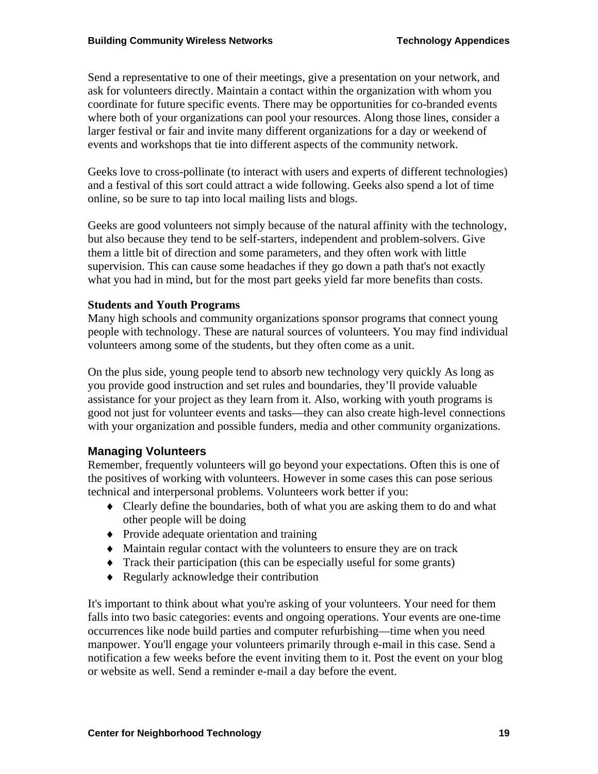Send a representative to one of their meetings, give a presentation on your network, and ask for volunteers directly. Maintain a contact within the organization with whom you coordinate for future specific events. There may be opportunities for co-branded events where both of your organizations can pool your resources. Along those lines, consider a larger festival or fair and invite many different organizations for a day or weekend of events and workshops that tie into different aspects of the community network.

Geeks love to cross-pollinate (to interact with users and experts of different technologies) and a festival of this sort could attract a wide following. Geeks also spend a lot of time online, so be sure to tap into local mailing lists and blogs.

Geeks are good volunteers not simply because of the natural affinity with the technology, but also because they tend to be self-starters, independent and problem-solvers. Give them a little bit of direction and some parameters, and they often work with little supervision. This can cause some headaches if they go down a path that's not exactly what you had in mind, but for the most part geeks yield far more benefits than costs.

#### **Students and Youth Programs**

Many high schools and community organizations sponsor programs that connect young people with technology. These are natural sources of volunteers. You may find individual volunteers among some of the students, but they often come as a unit.

On the plus side, young people tend to absorb new technology very quickly As long as you provide good instruction and set rules and boundaries, they'll provide valuable assistance for your project as they learn from it. Also, working with youth programs is good not just for volunteer events and tasks—they can also create high-level connections with your organization and possible funders, media and other community organizations.

### **Managing Volunteers**

Remember, frequently volunteers will go beyond your expectations. Often this is one of the positives of working with volunteers. However in some cases this can pose serious technical and interpersonal problems. Volunteers work better if you:

- ♦ Clearly define the boundaries, both of what you are asking them to do and what other people will be doing
- ♦ Provide adequate orientation and training
- ♦ Maintain regular contact with the volunteers to ensure they are on track
- ♦ Track their participation (this can be especially useful for some grants)
- ♦ Regularly acknowledge their contribution

It's important to think about what you're asking of your volunteers. Your need for them falls into two basic categories: events and ongoing operations. Your events are one-time occurrences like node build parties and computer refurbishing—time when you need manpower. You'll engage your volunteers primarily through e-mail in this case. Send a notification a few weeks before the event inviting them to it. Post the event on your blog or website as well. Send a reminder e-mail a day before the event.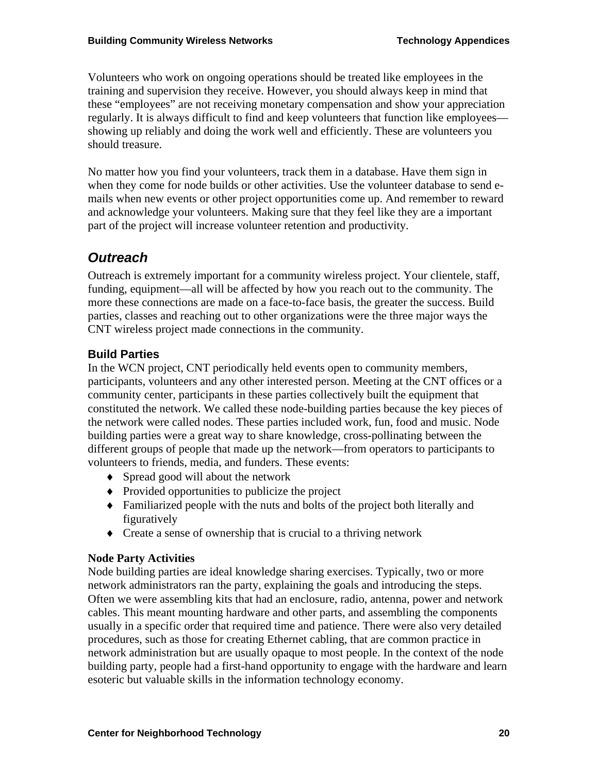Volunteers who work on ongoing operations should be treated like employees in the training and supervision they receive. However, you should always keep in mind that these "employees" are not receiving monetary compensation and show your appreciation regularly. It is always difficult to find and keep volunteers that function like employees showing up reliably and doing the work well and efficiently. These are volunteers you should treasure.

No matter how you find your volunteers, track them in a database. Have them sign in when they come for node builds or other activities. Use the volunteer database to send emails when new events or other project opportunities come up. And remember to reward and acknowledge your volunteers. Making sure that they feel like they are a important part of the project will increase volunteer retention and productivity.

# *Outreach*

Outreach is extremely important for a community wireless project. Your clientele, staff, funding, equipment—all will be affected by how you reach out to the community. The more these connections are made on a face-to-face basis, the greater the success. Build parties, classes and reaching out to other organizations were the three major ways the CNT wireless project made connections in the community.

## **Build Parties**

In the WCN project, CNT periodically held events open to community members, participants, volunteers and any other interested person. Meeting at the CNT offices or a community center, participants in these parties collectively built the equipment that constituted the network. We called these node-building parties because the key pieces of the network were called nodes. These parties included work, fun, food and music. Node building parties were a great way to share knowledge, cross-pollinating between the different groups of people that made up the network—from operators to participants to volunteers to friends, media, and funders. These events:

- ♦ Spread good will about the network
- ♦ Provided opportunities to publicize the project
- ♦ Familiarized people with the nuts and bolts of the project both literally and figuratively
- ♦ Create a sense of ownership that is crucial to a thriving network

### **Node Party Activities**

Node building parties are ideal knowledge sharing exercises. Typically, two or more network administrators ran the party, explaining the goals and introducing the steps. Often we were assembling kits that had an enclosure, radio, antenna, power and network cables. This meant mounting hardware and other parts, and assembling the components usually in a specific order that required time and patience. There were also very detailed procedures, such as those for creating Ethernet cabling, that are common practice in network administration but are usually opaque to most people. In the context of the node building party, people had a first-hand opportunity to engage with the hardware and learn esoteric but valuable skills in the information technology economy.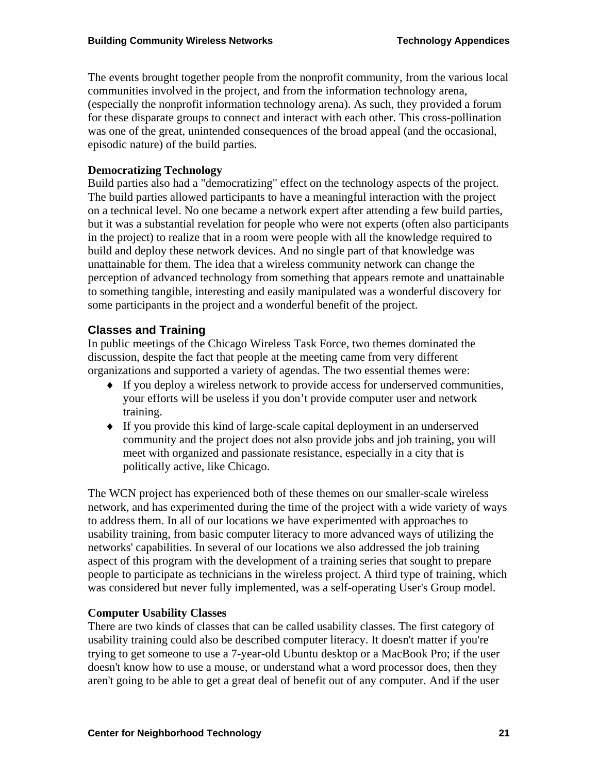The events brought together people from the nonprofit community, from the various local communities involved in the project, and from the information technology arena, (especially the nonprofit information technology arena). As such, they provided a forum for these disparate groups to connect and interact with each other. This cross-pollination was one of the great, unintended consequences of the broad appeal (and the occasional, episodic nature) of the build parties.

### **Democratizing Technology**

Build parties also had a "democratizing" effect on the technology aspects of the project. The build parties allowed participants to have a meaningful interaction with the project on a technical level. No one became a network expert after attending a few build parties, but it was a substantial revelation for people who were not experts (often also participants in the project) to realize that in a room were people with all the knowledge required to build and deploy these network devices. And no single part of that knowledge was unattainable for them. The idea that a wireless community network can change the perception of advanced technology from something that appears remote and unattainable to something tangible, interesting and easily manipulated was a wonderful discovery for some participants in the project and a wonderful benefit of the project.

### **Classes and Training**

In public meetings of the Chicago Wireless Task Force, two themes dominated the discussion, despite the fact that people at the meeting came from very different organizations and supported a variety of agendas. The two essential themes were:

- ♦ If you deploy a wireless network to provide access for underserved communities, your efforts will be useless if you don't provide computer user and network training.
- ♦ If you provide this kind of large-scale capital deployment in an underserved community and the project does not also provide jobs and job training, you will meet with organized and passionate resistance, especially in a city that is politically active, like Chicago.

The WCN project has experienced both of these themes on our smaller-scale wireless network, and has experimented during the time of the project with a wide variety of ways to address them. In all of our locations we have experimented with approaches to usability training, from basic computer literacy to more advanced ways of utilizing the networks' capabilities. In several of our locations we also addressed the job training aspect of this program with the development of a training series that sought to prepare people to participate as technicians in the wireless project. A third type of training, which was considered but never fully implemented, was a self-operating User's Group model.

#### **Computer Usability Classes**

There are two kinds of classes that can be called usability classes. The first category of usability training could also be described computer literacy. It doesn't matter if you're trying to get someone to use a 7-year-old Ubuntu desktop or a MacBook Pro; if the user doesn't know how to use a mouse, or understand what a word processor does, then they aren't going to be able to get a great deal of benefit out of any computer. And if the user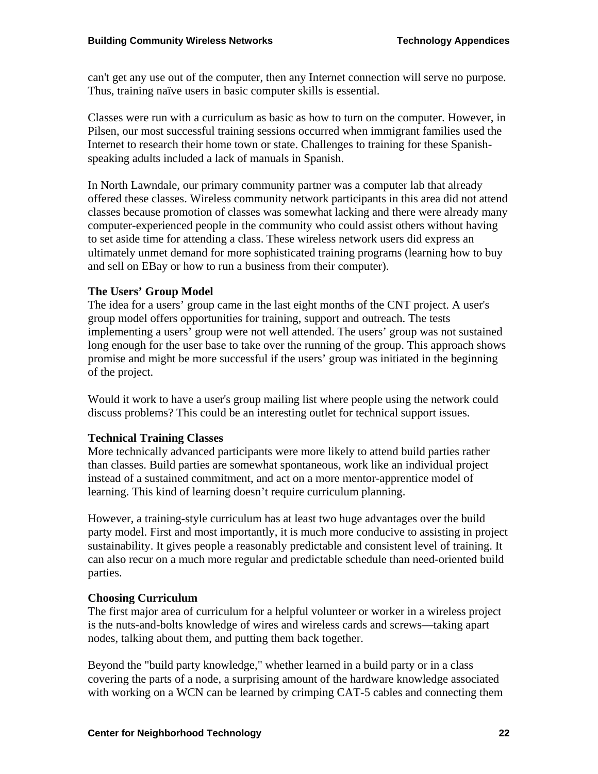can't get any use out of the computer, then any Internet connection will serve no purpose. Thus, training naïve users in basic computer skills is essential.

Classes were run with a curriculum as basic as how to turn on the computer. However, in Pilsen, our most successful training sessions occurred when immigrant families used the Internet to research their home town or state. Challenges to training for these Spanishspeaking adults included a lack of manuals in Spanish.

In North Lawndale, our primary community partner was a computer lab that already offered these classes. Wireless community network participants in this area did not attend classes because promotion of classes was somewhat lacking and there were already many computer-experienced people in the community who could assist others without having to set aside time for attending a class. These wireless network users did express an ultimately unmet demand for more sophisticated training programs (learning how to buy and sell on EBay or how to run a business from their computer).

#### **The Users' Group Model**

The idea for a users' group came in the last eight months of the CNT project. A user's group model offers opportunities for training, support and outreach. The tests implementing a users' group were not well attended. The users' group was not sustained long enough for the user base to take over the running of the group. This approach shows promise and might be more successful if the users' group was initiated in the beginning of the project.

Would it work to have a user's group mailing list where people using the network could discuss problems? This could be an interesting outlet for technical support issues.

#### **Technical Training Classes**

More technically advanced participants were more likely to attend build parties rather than classes. Build parties are somewhat spontaneous, work like an individual project instead of a sustained commitment, and act on a more mentor-apprentice model of learning. This kind of learning doesn't require curriculum planning.

However, a training-style curriculum has at least two huge advantages over the build party model. First and most importantly, it is much more conducive to assisting in project sustainability. It gives people a reasonably predictable and consistent level of training. It can also recur on a much more regular and predictable schedule than need-oriented build parties.

#### **Choosing Curriculum**

The first major area of curriculum for a helpful volunteer or worker in a wireless project is the nuts-and-bolts knowledge of wires and wireless cards and screws—taking apart nodes, talking about them, and putting them back together.

Beyond the "build party knowledge," whether learned in a build party or in a class covering the parts of a node, a surprising amount of the hardware knowledge associated with working on a WCN can be learned by crimping CAT-5 cables and connecting them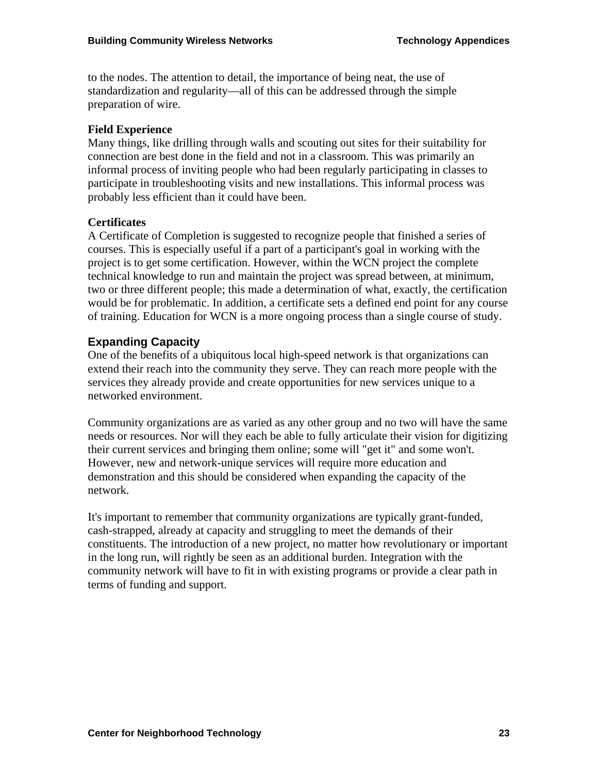to the nodes. The attention to detail, the importance of being neat, the use of standardization and regularity—all of this can be addressed through the simple preparation of wire.

#### **Field Experience**

Many things, like drilling through walls and scouting out sites for their suitability for connection are best done in the field and not in a classroom. This was primarily an informal process of inviting people who had been regularly participating in classes to participate in troubleshooting visits and new installations. This informal process was probably less efficient than it could have been.

### **Certificates**

A Certificate of Completion is suggested to recognize people that finished a series of courses. This is especially useful if a part of a participant's goal in working with the project is to get some certification. However, within the WCN project the complete technical knowledge to run and maintain the project was spread between, at minimum, two or three different people; this made a determination of what, exactly, the certification would be for problematic. In addition, a certificate sets a defined end point for any course of training. Education for WCN is a more ongoing process than a single course of study.

## **Expanding Capacity**

One of the benefits of a ubiquitous local high-speed network is that organizations can extend their reach into the community they serve. They can reach more people with the services they already provide and create opportunities for new services unique to a networked environment.

Community organizations are as varied as any other group and no two will have the same needs or resources. Nor will they each be able to fully articulate their vision for digitizing their current services and bringing them online; some will "get it" and some won't. However, new and network-unique services will require more education and demonstration and this should be considered when expanding the capacity of the network.

It's important to remember that community organizations are typically grant-funded, cash-strapped, already at capacity and struggling to meet the demands of their constituents. The introduction of a new project, no matter how revolutionary or important in the long run, will rightly be seen as an additional burden. Integration with the community network will have to fit in with existing programs or provide a clear path in terms of funding and support.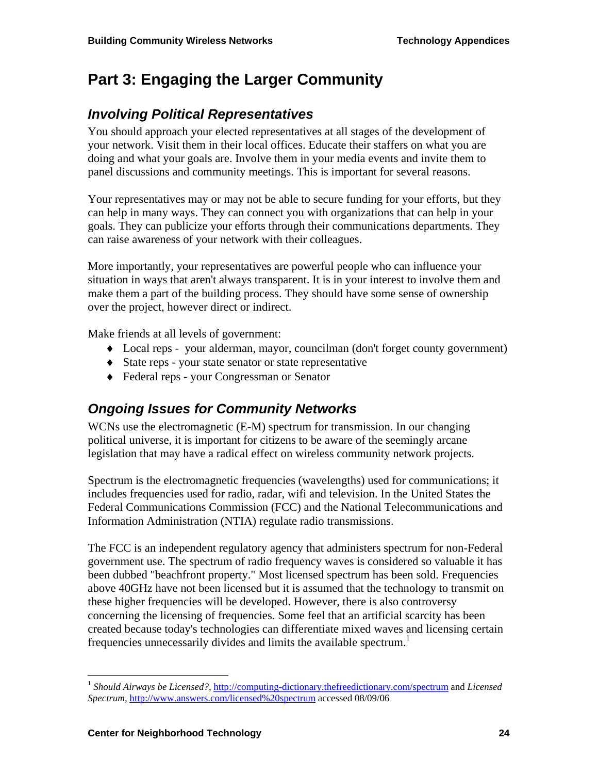# **Part 3: Engaging the Larger Community**

# *Involving Political Representatives*

You should approach your elected representatives at all stages of the development of your network. Visit them in their local offices. Educate their staffers on what you are doing and what your goals are. Involve them in your media events and invite them to panel discussions and community meetings. This is important for several reasons.

Your representatives may or may not be able to secure funding for your efforts, but they can help in many ways. They can connect you with organizations that can help in your goals. They can publicize your efforts through their communications departments. They can raise awareness of your network with their colleagues.

More importantly, your representatives are powerful people who can influence your situation in ways that aren't always transparent. It is in your interest to involve them and make them a part of the building process. They should have some sense of ownership over the project, however direct or indirect.

Make friends at all levels of government:

- ♦ Local reps your alderman, mayor, councilman (don't forget county government)
- ♦ State reps your state senator or state representative
- ♦ Federal reps your Congressman or Senator

## *Ongoing Issues for Community Networks*

WCNs use the electromagnetic (E-M) spectrum for transmission. In our changing political universe, it is important for citizens to be aware of the seemingly arcane legislation that may have a radical effect on wireless community network projects.

Spectrum is the electromagnetic frequencies (wavelengths) used for communications; it includes frequencies used for radio, radar, wifi and television. In the United States the Federal Communications Commission (FCC) and the National Telecommunications and Information Administration (NTIA) regulate radio transmissions.

The FCC is an independent regulatory agency that administers spectrum for non-Federal government use. The spectrum of radio frequency waves is considered so valuable it has been dubbed "beachfront property." Most licensed spectrum has been sold. Frequencies above 40GHz have not been licensed but it is assumed that the technology to transmit on these higher frequencies will be developed. However, there is also controversy concerning the licensing of frequencies. Some feel that an artificial scarcity has been created because today's technologies can differentiate mixed waves and licensing certain frequencies unnecessarily divides and limits the available spectrum.<sup>1</sup>

1

<sup>1</sup> *Should Airways be Licensed?,* http://computing-dictionary.thefreedictionary.com/spectrum and *Licensed Spectrum*, http://www.answers.com/licensed%20spectrum accessed 08/09/06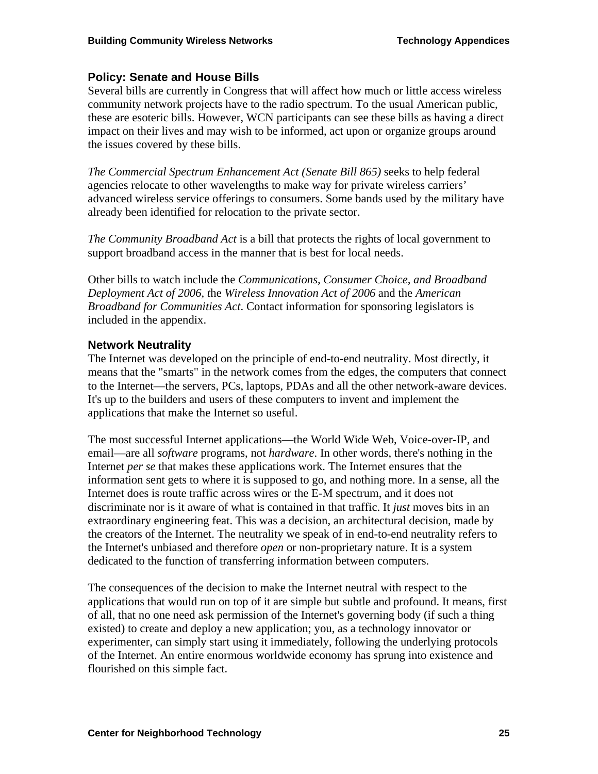### **Policy: Senate and House Bills**

Several bills are currently in Congress that will affect how much or little access wireless community network projects have to the radio spectrum. To the usual American public, these are esoteric bills. However, WCN participants can see these bills as having a direct impact on their lives and may wish to be informed, act upon or organize groups around the issues covered by these bills.

*The Commercial Spectrum Enhancement Act (Senate Bill 865)* seeks to help federal agencies relocate to other wavelengths to make way for private wireless carriers' advanced wireless service offerings to consumers. Some bands used by the military have already been identified for relocation to the private sector.

*The Community Broadband Act* is a bill that protects the rights of local government to support broadband access in the manner that is best for local needs.

Other bills to watch include the *Communications, Consumer Choice, and Broadband Deployment Act of 2006, t*he *Wireless Innovation Act of 2006* and the *American Broadband for Communities Act*. Contact information for sponsoring legislators is included in the appendix.

### **Network Neutrality**

The Internet was developed on the principle of end-to-end neutrality. Most directly, it means that the "smarts" in the network comes from the edges, the computers that connect to the Internet—the servers, PCs, laptops, PDAs and all the other network-aware devices. It's up to the builders and users of these computers to invent and implement the applications that make the Internet so useful.

The most successful Internet applications—the World Wide Web, Voice-over-IP, and email—are all *software* programs, not *hardware*. In other words, there's nothing in the Internet *per se* that makes these applications work. The Internet ensures that the information sent gets to where it is supposed to go, and nothing more. In a sense, all the Internet does is route traffic across wires or the E-M spectrum, and it does not discriminate nor is it aware of what is contained in that traffic. It *just* moves bits in an extraordinary engineering feat. This was a decision, an architectural decision, made by the creators of the Internet. The neutrality we speak of in end-to-end neutrality refers to the Internet's unbiased and therefore *open* or non-proprietary nature. It is a system dedicated to the function of transferring information between computers.

The consequences of the decision to make the Internet neutral with respect to the applications that would run on top of it are simple but subtle and profound. It means, first of all, that no one need ask permission of the Internet's governing body (if such a thing existed) to create and deploy a new application; you, as a technology innovator or experimenter, can simply start using it immediately, following the underlying protocols of the Internet. An entire enormous worldwide economy has sprung into existence and flourished on this simple fact.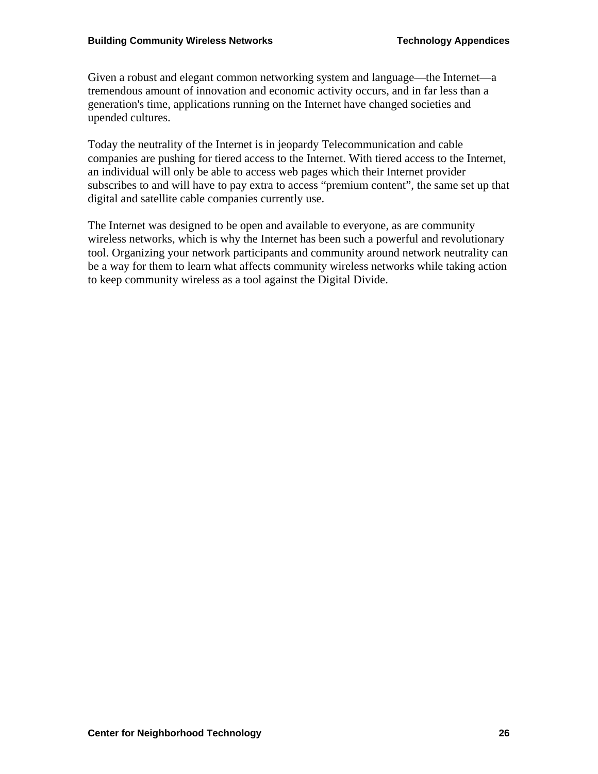Given a robust and elegant common networking system and language—the Internet—a tremendous amount of innovation and economic activity occurs, and in far less than a generation's time, applications running on the Internet have changed societies and upended cultures.

Today the neutrality of the Internet is in jeopardy Telecommunication and cable companies are pushing for tiered access to the Internet. With tiered access to the Internet, an individual will only be able to access web pages which their Internet provider subscribes to and will have to pay extra to access "premium content", the same set up that digital and satellite cable companies currently use.

The Internet was designed to be open and available to everyone, as are community wireless networks, which is why the Internet has been such a powerful and revolutionary tool. Organizing your network participants and community around network neutrality can be a way for them to learn what affects community wireless networks while taking action to keep community wireless as a tool against the Digital Divide.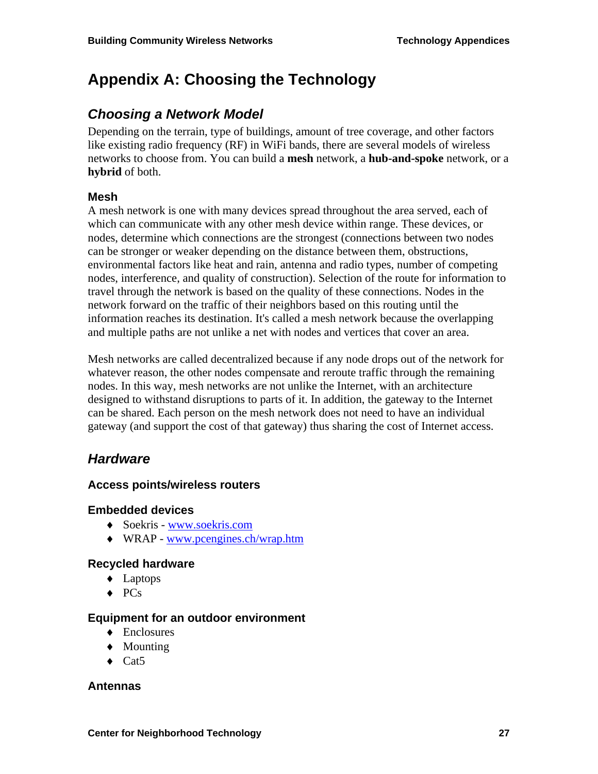# **Appendix A: Choosing the Technology**

## *Choosing a Network Model*

Depending on the terrain, type of buildings, amount of tree coverage, and other factors like existing radio frequency (RF) in WiFi bands, there are several models of wireless networks to choose from. You can build a **mesh** network, a **hub-and-spoke** network, or a **hybrid** of both.

#### **Mesh**

A mesh network is one with many devices spread throughout the area served, each of which can communicate with any other mesh device within range. These devices, or nodes, determine which connections are the strongest (connections between two nodes can be stronger or weaker depending on the distance between them, obstructions, environmental factors like heat and rain, antenna and radio types, number of competing nodes, interference, and quality of construction). Selection of the route for information to travel through the network is based on the quality of these connections. Nodes in the network forward on the traffic of their neighbors based on this routing until the information reaches its destination. It's called a mesh network because the overlapping and multiple paths are not unlike a net with nodes and vertices that cover an area.

Mesh networks are called decentralized because if any node drops out of the network for whatever reason, the other nodes compensate and reroute traffic through the remaining nodes. In this way, mesh networks are not unlike the Internet, with an architecture designed to withstand disruptions to parts of it. In addition, the gateway to the Internet can be shared. Each person on the mesh network does not need to have an individual gateway (and support the cost of that gateway) thus sharing the cost of Internet access.

## *Hardware*

#### **Access points/wireless routers**

#### **Embedded devices**

- ♦ Soekris www.soekris.com
- ♦ WRAP www.pcengines.ch/wrap.htm

#### **Recycled hardware**

- ♦ Laptops
- ♦ PCs

#### **Equipment for an outdoor environment**

- ♦ Enclosures
- ♦ Mounting
- $\triangleleft$  Cat5

#### **Antennas**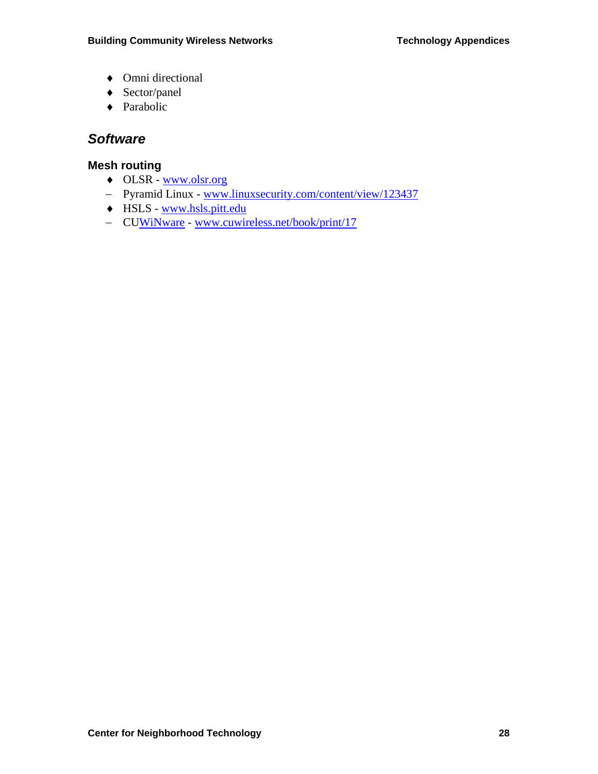- ♦ Omni directional
- ♦ Sector/panel
- ♦ Parabolic

# *Software*

## **Mesh routing**

- ♦ OLSR www.olsr.org
- − Pyramid Linux www.linuxsecurity.com/content/view/123437
- ♦ HSLS www.hsls.pitt.edu
- − CUWiNware www.cuwireless.net/book/print/17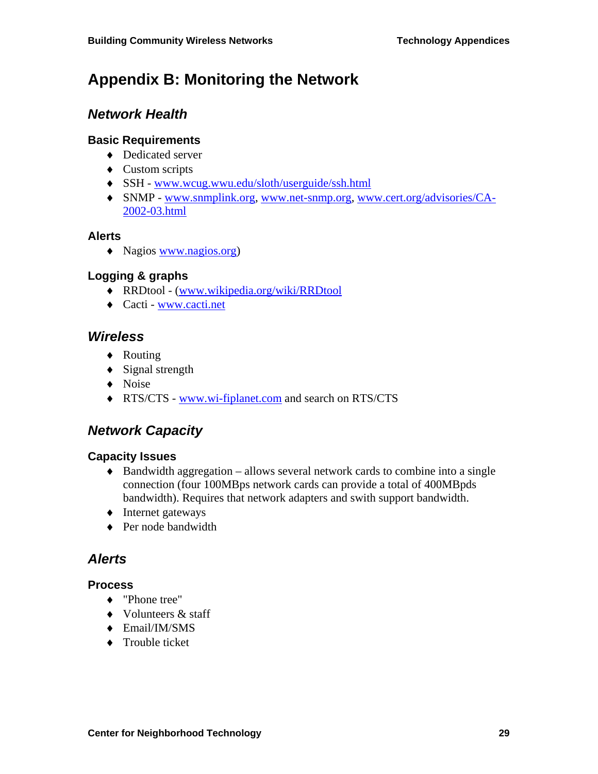# **Appendix B: Monitoring the Network**

# *Network Health*

### **Basic Requirements**

- ♦ Dedicated server
- ♦ Custom scripts
- ♦ SSH www.wcug.wwu.edu/sloth/userguide/ssh.html
- ♦ SNMP www.snmplink.org, www.net-snmp.org, www.cert.org/advisories/CA-2002-03.html

### **Alerts**

♦ Nagios www.nagios.org)

### **Logging & graphs**

- ♦ RRDtool (www.wikipedia.org/wiki/RRDtool
- ♦ Cacti www.cacti.net

## *Wireless*

- ♦ Routing
- ♦ Signal strength
- ♦ Noise
- ♦ RTS/CTS www.wi-fiplanet.com and search on RTS/CTS

# *Network Capacity*

### **Capacity Issues**

- $\triangle$  Bandwidth aggregation allows several network cards to combine into a single connection (four 100MBps network cards can provide a total of 400MBpds bandwidth). Requires that network adapters and swith support bandwidth.
- ♦ Internet gateways
- ◆ Per node bandwidth

## *Alerts*

#### **Process**

- ♦ "Phone tree"
- ♦ Volunteers & staff
- ♦ Email/IM/SMS
- ♦ Trouble ticket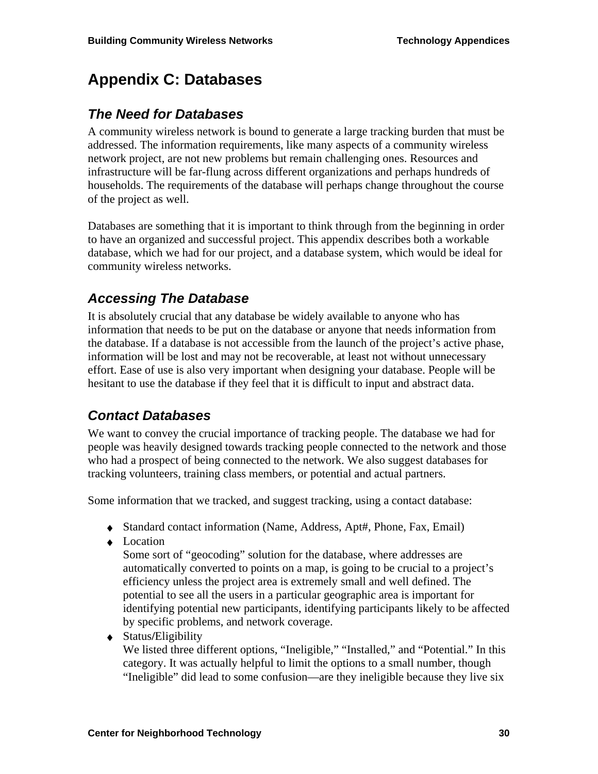# **Appendix C: Databases**

## *The Need for Databases*

A community wireless network is bound to generate a large tracking burden that must be addressed. The information requirements, like many aspects of a community wireless network project, are not new problems but remain challenging ones. Resources and infrastructure will be far-flung across different organizations and perhaps hundreds of households. The requirements of the database will perhaps change throughout the course of the project as well.

Databases are something that it is important to think through from the beginning in order to have an organized and successful project. This appendix describes both a workable database, which we had for our project, and a database system, which would be ideal for community wireless networks.

# *Accessing The Database*

It is absolutely crucial that any database be widely available to anyone who has information that needs to be put on the database or anyone that needs information from the database. If a database is not accessible from the launch of the project's active phase, information will be lost and may not be recoverable, at least not without unnecessary effort. Ease of use is also very important when designing your database. People will be hesitant to use the database if they feel that it is difficult to input and abstract data.

# *Contact Databases*

We want to convey the crucial importance of tracking people. The database we had for people was heavily designed towards tracking people connected to the network and those who had a prospect of being connected to the network. We also suggest databases for tracking volunteers, training class members, or potential and actual partners.

Some information that we tracked, and suggest tracking, using a contact database:

- ♦ Standard contact information (Name, Address, Apt#, Phone, Fax, Email)
- ♦ Location

Some sort of "geocoding" solution for the database, where addresses are automatically converted to points on a map, is going to be crucial to a project's efficiency unless the project area is extremely small and well defined. The potential to see all the users in a particular geographic area is important for identifying potential new participants, identifying participants likely to be affected by specific problems, and network coverage.

♦ Status**/**Eligibility

We listed three different options, "Ineligible," "Installed," and "Potential." In this category. It was actually helpful to limit the options to a small number, though "Ineligible" did lead to some confusion—are they ineligible because they live six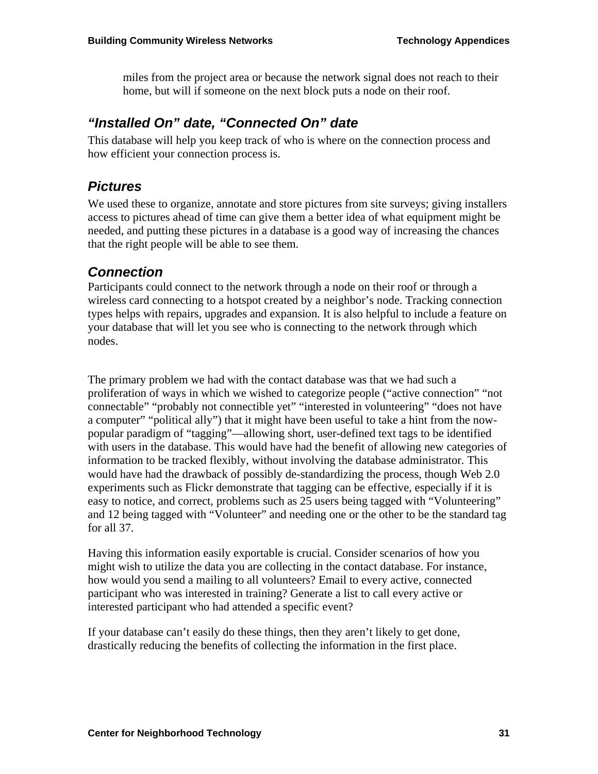miles from the project area or because the network signal does not reach to their home, but will if someone on the next block puts a node on their roof.

## *"Installed On" date, "Connected On" date*

This database will help you keep track of who is where on the connection process and how efficient your connection process is.

## *Pictures*

We used these to organize, annotate and store pictures from site surveys; giving installers access to pictures ahead of time can give them a better idea of what equipment might be needed, and putting these pictures in a database is a good way of increasing the chances that the right people will be able to see them.

## *Connection*

Participants could connect to the network through a node on their roof or through a wireless card connecting to a hotspot created by a neighbor's node. Tracking connection types helps with repairs, upgrades and expansion. It is also helpful to include a feature on your database that will let you see who is connecting to the network through which nodes.

The primary problem we had with the contact database was that we had such a proliferation of ways in which we wished to categorize people ("active connection" "not connectable" "probably not connectible yet" "interested in volunteering" "does not have a computer" "political ally") that it might have been useful to take a hint from the nowpopular paradigm of "tagging"—allowing short, user-defined text tags to be identified with users in the database. This would have had the benefit of allowing new categories of information to be tracked flexibly, without involving the database administrator. This would have had the drawback of possibly de-standardizing the process, though Web 2.0 experiments such as Flickr demonstrate that tagging can be effective, especially if it is easy to notice, and correct, problems such as 25 users being tagged with "Volunteering" and 12 being tagged with "Volunteer" and needing one or the other to be the standard tag for all 37.

Having this information easily exportable is crucial. Consider scenarios of how you might wish to utilize the data you are collecting in the contact database. For instance, how would you send a mailing to all volunteers? Email to every active, connected participant who was interested in training? Generate a list to call every active or interested participant who had attended a specific event?

If your database can't easily do these things, then they aren't likely to get done, drastically reducing the benefits of collecting the information in the first place.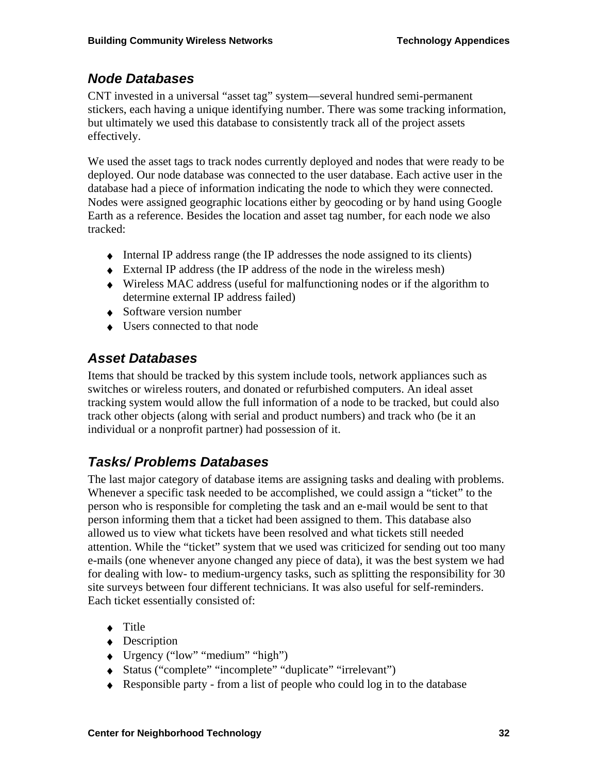# *Node Databases*

CNT invested in a universal "asset tag" system—several hundred semi-permanent stickers, each having a unique identifying number. There was some tracking information, but ultimately we used this database to consistently track all of the project assets effectively.

We used the asset tags to track nodes currently deployed and nodes that were ready to be deployed. Our node database was connected to the user database. Each active user in the database had a piece of information indicating the node to which they were connected. Nodes were assigned geographic locations either by geocoding or by hand using Google Earth as a reference. Besides the location and asset tag number, for each node we also tracked:

- ♦ Internal IP address range (the IP addresses the node assigned to its clients)
- ♦ External IP address (the IP address of the node in the wireless mesh)
- ♦ Wireless MAC address (useful for malfunctioning nodes or if the algorithm to determine external IP address failed)
- $\triangle$  Software version number
- ♦ Users connected to that node

# *Asset Databases*

Items that should be tracked by this system include tools, network appliances such as switches or wireless routers, and donated or refurbished computers. An ideal asset tracking system would allow the full information of a node to be tracked, but could also track other objects (along with serial and product numbers) and track who (be it an individual or a nonprofit partner) had possession of it.

# *Tasks/ Problems Databases*

The last major category of database items are assigning tasks and dealing with problems. Whenever a specific task needed to be accomplished, we could assign a "ticket" to the person who is responsible for completing the task and an e-mail would be sent to that person informing them that a ticket had been assigned to them. This database also allowed us to view what tickets have been resolved and what tickets still needed attention. While the "ticket" system that we used was criticized for sending out too many e-mails (one whenever anyone changed any piece of data), it was the best system we had for dealing with low- to medium-urgency tasks, such as splitting the responsibility for 30 site surveys between four different technicians. It was also useful for self-reminders. Each ticket essentially consisted of:

- ♦ Title
- ◆ Description
- ♦ Urgency ("low" "medium" "high")
- ♦ Status ("complete" "incomplete" "duplicate" "irrelevant")
- ♦ Responsible party from a list of people who could log in to the database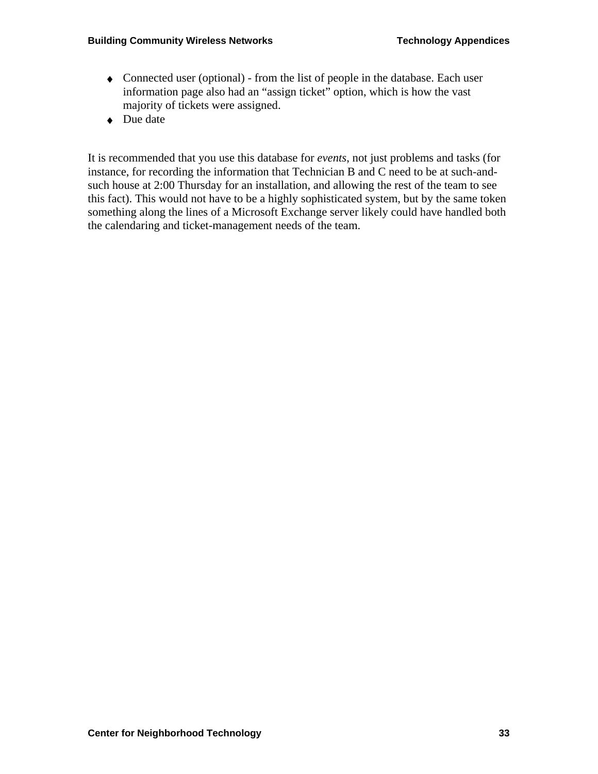- ♦ Connected user (optional) from the list of people in the database. Each user information page also had an "assign ticket" option, which is how the vast majority of tickets were assigned.
- ◆ Due date

It is recommended that you use this database for *events*, not just problems and tasks (for instance, for recording the information that Technician B and C need to be at such-andsuch house at 2:00 Thursday for an installation, and allowing the rest of the team to see this fact). This would not have to be a highly sophisticated system, but by the same token something along the lines of a Microsoft Exchange server likely could have handled both the calendaring and ticket-management needs of the team.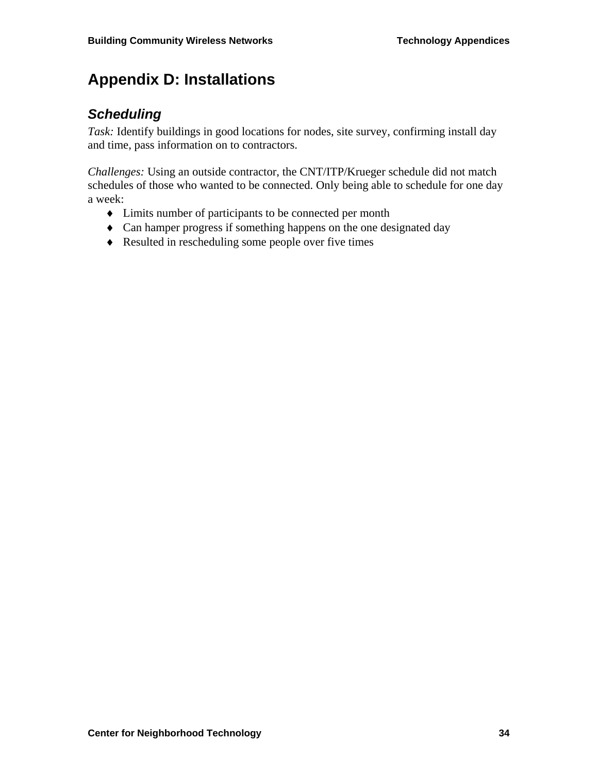# **Appendix D: Installations**

# *Scheduling*

*Task:* Identify buildings in good locations for nodes, site survey, confirming install day and time, pass information on to contractors.

*Challenges:* Using an outside contractor, the CNT/ITP/Krueger schedule did not match schedules of those who wanted to be connected. Only being able to schedule for one day a week:

- ♦ Limits number of participants to be connected per month
- ♦ Can hamper progress if something happens on the one designated day
- ♦ Resulted in rescheduling some people over five times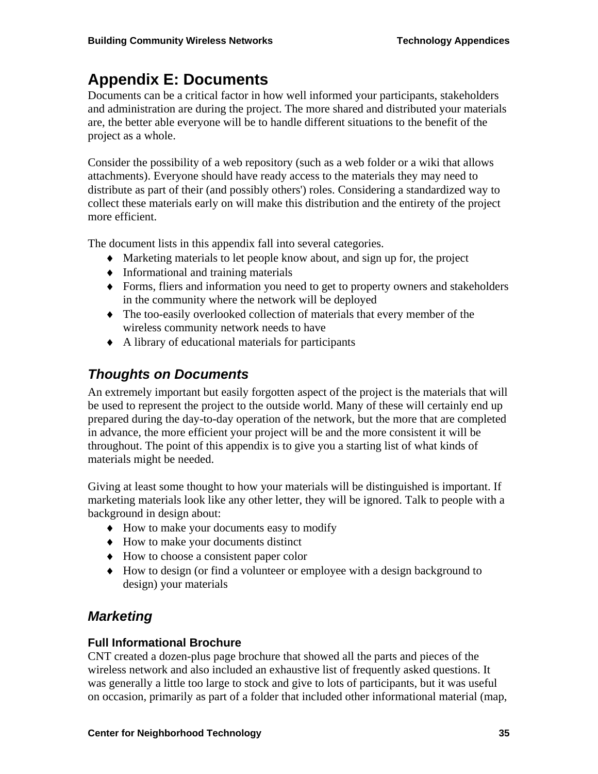# **Appendix E: Documents**

Documents can be a critical factor in how well informed your participants, stakeholders and administration are during the project. The more shared and distributed your materials are, the better able everyone will be to handle different situations to the benefit of the project as a whole.

Consider the possibility of a web repository (such as a web folder or a wiki that allows attachments). Everyone should have ready access to the materials they may need to distribute as part of their (and possibly others') roles. Considering a standardized way to collect these materials early on will make this distribution and the entirety of the project more efficient.

The document lists in this appendix fall into several categories.

- ♦ Marketing materials to let people know about, and sign up for, the project
- ♦ Informational and training materials
- ♦ Forms, fliers and information you need to get to property owners and stakeholders in the community where the network will be deployed
- ♦ The too-easily overlooked collection of materials that every member of the wireless community network needs to have
- ♦ A library of educational materials for participants

# *Thoughts on Documents*

An extremely important but easily forgotten aspect of the project is the materials that will be used to represent the project to the outside world. Many of these will certainly end up prepared during the day-to-day operation of the network, but the more that are completed in advance, the more efficient your project will be and the more consistent it will be throughout. The point of this appendix is to give you a starting list of what kinds of materials might be needed.

Giving at least some thought to how your materials will be distinguished is important. If marketing materials look like any other letter, they will be ignored. Talk to people with a background in design about:

- ♦ How to make your documents easy to modify
- ♦ How to make your documents distinct
- ♦ How to choose a consistent paper color
- ♦ How to design (or find a volunteer or employee with a design background to design) your materials

# *Marketing*

### **Full Informational Brochure**

CNT created a dozen-plus page brochure that showed all the parts and pieces of the wireless network and also included an exhaustive list of frequently asked questions. It was generally a little too large to stock and give to lots of participants, but it was useful on occasion, primarily as part of a folder that included other informational material (map,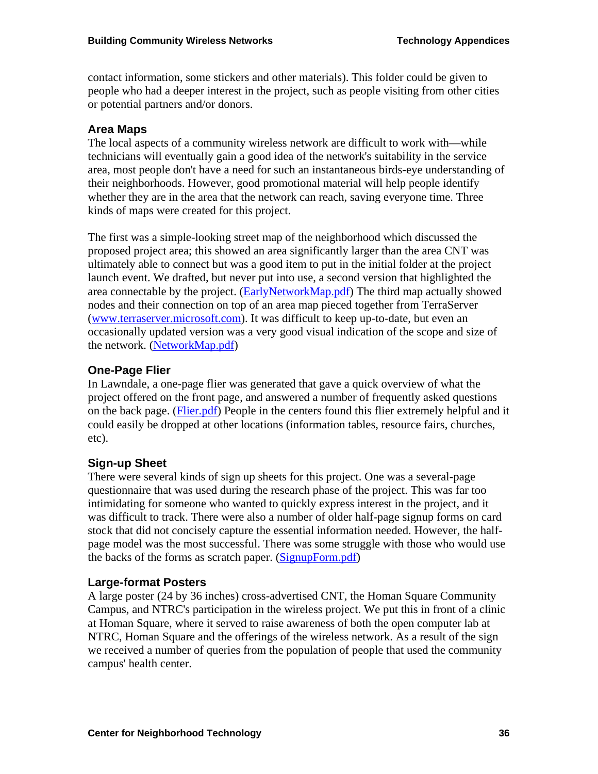contact information, some stickers and other materials). This folder could be given to people who had a deeper interest in the project, such as people visiting from other cities or potential partners and/or donors.

### **Area Maps**

The local aspects of a community wireless network are difficult to work with—while technicians will eventually gain a good idea of the network's suitability in the service area, most people don't have a need for such an instantaneous birds-eye understanding of their neighborhoods. However, good promotional material will help people identify whether they are in the area that the network can reach, saving everyone time. Three kinds of maps were created for this project.

The first was a simple-looking street map of the neighborhood which discussed the proposed project area; this showed an area significantly larger than the area CNT was ultimately able to connect but was a good item to put in the initial folder at the project launch event. We drafted, but never put into use, a second version that highlighted the area connectable by the project. (EarlyNetworkMap.pdf) The third map actually showed nodes and their connection on top of an area map pieced together from TerraServer (www.terraserver.microsoft.com). It was difficult to keep up-to-date, but even an occasionally updated version was a very good visual indication of the scope and size of the network. (NetworkMap.pdf)

## **One-Page Flier**

In Lawndale, a one-page flier was generated that gave a quick overview of what the project offered on the front page, and answered a number of frequently asked questions on the back page. (Flier.pdf) People in the centers found this flier extremely helpful and it could easily be dropped at other locations (information tables, resource fairs, churches, etc).

### **Sign-up Sheet**

There were several kinds of sign up sheets for this project. One was a several-page questionnaire that was used during the research phase of the project. This was far too intimidating for someone who wanted to quickly express interest in the project, and it was difficult to track. There were also a number of older half-page signup forms on card stock that did not concisely capture the essential information needed. However, the halfpage model was the most successful. There was some struggle with those who would use the backs of the forms as scratch paper. (SignupForm.pdf)

### **Large-format Posters**

A large poster (24 by 36 inches) cross-advertised CNT, the Homan Square Community Campus, and NTRC's participation in the wireless project. We put this in front of a clinic at Homan Square, where it served to raise awareness of both the open computer lab at NTRC, Homan Square and the offerings of the wireless network. As a result of the sign we received a number of queries from the population of people that used the community campus' health center.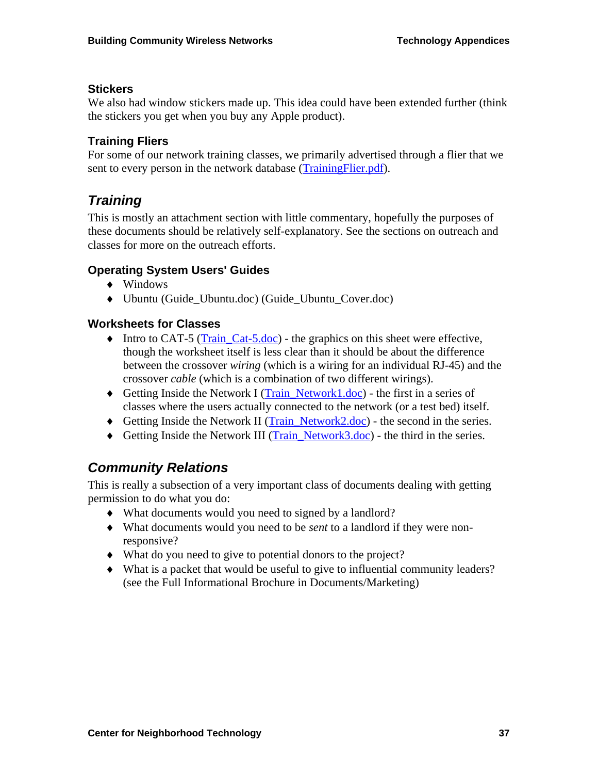#### **Stickers**

We also had window stickers made up. This idea could have been extended further (think the stickers you get when you buy any Apple product).

### **Training Fliers**

For some of our network training classes, we primarily advertised through a flier that we sent to every person in the network database (TrainingFlier.pdf).

# *Training*

This is mostly an attachment section with little commentary, hopefully the purposes of these documents should be relatively self-explanatory. See the sections on outreach and classes for more on the outreach efforts.

### **Operating System Users' Guides**

- ♦ Windows
- ♦ Ubuntu (Guide\_Ubuntu.doc) (Guide\_Ubuntu\_Cover.doc)

### **Worksheets for Classes**

- ♦ Intro to CAT-5 (Train\_Cat-5.doc) the graphics on this sheet were effective, though the worksheet itself is less clear than it should be about the difference between the crossover *wiring* (which is a wiring for an individual RJ-45) and the crossover *cable* (which is a combination of two different wirings).
- ♦ Getting Inside the Network I (Train\_Network1.doc) the first in a series of classes where the users actually connected to the network (or a test bed) itself.
- ♦ Getting Inside the Network II (Train\_Network2.doc) the second in the series.
- ♦ Getting Inside the Network III (Train\_Network3.doc) the third in the series.

# *Community Relations*

This is really a subsection of a very important class of documents dealing with getting permission to do what you do:

- ♦ What documents would you need to signed by a landlord?
- ♦ What documents would you need to be *sent* to a landlord if they were nonresponsive?
- ♦ What do you need to give to potential donors to the project?
- ♦ What is a packet that would be useful to give to influential community leaders? (see the Full Informational Brochure in Documents/Marketing)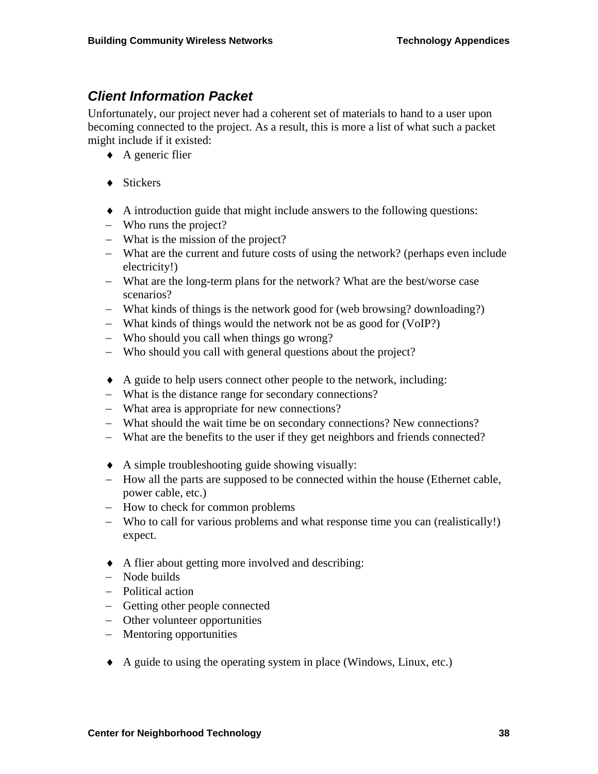# *Client Information Packet*

Unfortunately, our project never had a coherent set of materials to hand to a user upon becoming connected to the project. As a result, this is more a list of what such a packet might include if it existed:

- ♦ A generic flier
- ♦ Stickers
- ♦ A introduction guide that might include answers to the following questions:
- − Who runs the project?
- − What is the mission of the project?
- − What are the current and future costs of using the network? (perhaps even include electricity!)
- − What are the long-term plans for the network? What are the best/worse case scenarios?
- − What kinds of things is the network good for (web browsing? downloading?)
- − What kinds of things would the network not be as good for (VoIP?)
- − Who should you call when things go wrong?
- − Who should you call with general questions about the project?
- ♦ A guide to help users connect other people to the network, including:
- − What is the distance range for secondary connections?
- − What area is appropriate for new connections?
- − What should the wait time be on secondary connections? New connections?
- − What are the benefits to the user if they get neighbors and friends connected?
- ♦ A simple troubleshooting guide showing visually:
- − How all the parts are supposed to be connected within the house (Ethernet cable, power cable, etc.)
- − How to check for common problems
- − Who to call for various problems and what response time you can (realistically!) expect.
- ♦ A flier about getting more involved and describing:
- − Node builds
- − Political action
- − Getting other people connected
- − Other volunteer opportunities
- − Mentoring opportunities
- ♦ A guide to using the operating system in place (Windows, Linux, etc.)